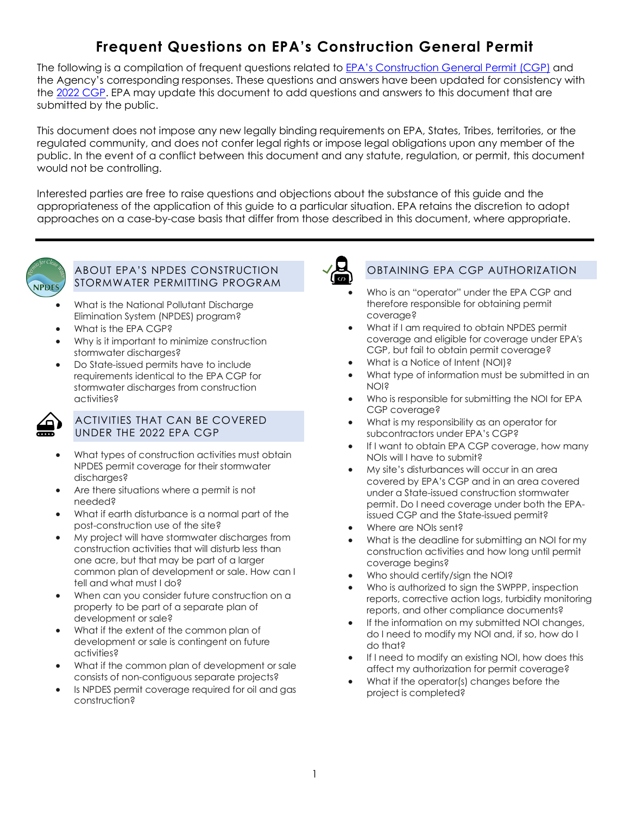# **Frequent Questions on EPA's Construction General Permit**

The following is a compilation of frequent questions related to <u>EPA's Construction General Permit (CGP)</u> and the Agency's corresponding responses. These questions and answers have been updated for consistency with the [2022 CGP.](https://www.epa.gov/system/files/documents/2022-01/2022-cgp-final-permit.pdf) EPA may update this document to add questions and answers to this document that are submitted by the public.

submitted by the public.<br>This document does not impose any new legally binding requirements on EPA, States, Tribes, territories, or the regulated community, and does not confer legal rights or impose legal obligations upon any member of the public. In the event of a conflict between this document and any statute, regulation, or permit, this document would not be controlling.

 appropriateness of the application of this guide to a particular situation. EPA retains the discretion to adopt Interested parties are free to raise questions and objections about the substance of this guide and the approaches on a case-by-case basis that differ from those described in this document, where appropriate.



#### ABOUT EPA'S NPDES CONSTRUCTION STORMWATER PERMITTING PROGRAM

- • [What is the National Pollutant Discharge](#page-2-0) [Elimination System \(NPDES\) program?](#page-2-0)
- [What is the EPA CGP?](#page-2-1)
- • [Why is it important to minimize construction](#page-2-2) [stormwater discharges?](#page-2-2)
- • [Do State-issued permits have to include](#page-3-0)  [requirements identical to the EPA CGP for](#page-3-0) [stormwater discharges from construction](#page-3-0) [activities?](#page-3-0)



#### ACTIVITIES THAT CAN BE COVERED UNDER THE 2022 EPA CGP

- [What types of construction activities must obtain](#page-3-1) [NPDES permit coverage for their stormwater](#page-3-1) [discharges?](#page-3-1)
- [Are there situations where a permit is not](#page-4-0) [needed?](#page-4-0)
- • [What if earth disturbance is a normal part of the](#page-4-1) [post-construction use of the site?](#page-4-1)
- • [My project will have stormwater discharges from](#page-5-0) [construction activities that will disturb less than](#page-5-0) [one acre, but that may be part of a larger](#page-5-0) [common plan of development or sale. How can I](#page-5-0) [tell and what must I do?](#page-5-0)
- • [When can you consider future construction on a](#page-5-1) [property to be part of a separate plan of](#page-5-1) [development or sale?](#page-5-1)
- [development or sale is contingent on future](#page-6-0) • [What if the extent of the common plan of](#page-6-0) [activities?](#page-6-0)
- • [What if the common plan of development or sale](#page-6-1) [consists of non-contiguous separate projects?](#page-6-1)
- • [Is NPDES permit coverage required for oil and gas](#page-7-0) [construction?](#page-7-0)



## OBTAINING EPA CGP AUTHORIZATION

- • [Who is an "operator" under the EPA CGP and](#page-8-0) [therefore responsible for obtaining permit](#page-8-0) [coverage?](#page-8-0)
- • [What if I am required to obtain NPDES permit](#page-8-1) [coverage and eligible for coverage under EPA's](#page-8-1) [CGP, but fail to obtain permit coverage?](#page-8-1)
- [What is a Notice of Intent \(NOI\)?](#page-9-0)
- • [What type of information must be submitted in an](#page-9-1) [NOI?](#page-9-1)
- • [Who is responsible for submitting the NOI for EPA](#page-9-2) [CGP coverage?](#page-9-2)
- • [What is my responsibility as an operator for](#page-10-0) [subcontractors under EPA's CGP?](#page-10-0)
- • [If I want to obtain EPA CGP coverage, how many](#page-10-1) [NOIs will I have to submit?](#page-10-1)
- [covered by EPA's CGP and in an area covered](#page-10-2) [under a State-issued construction stormwater](#page-10-2) [permit. Do I need coverage under both the EPA-](#page-10-2) [issued CGP and the State-issued permit?](#page-10-2) • [My site's disturbances will occur in an area](#page-10-2)
- [Where are NOIs sent?](#page-10-3)
- • [What is the deadline for submitting an NOI for my](#page-11-0) [construction activities and how long until permit](#page-11-0) [coverage begins?](#page-11-0)
- [Who should certify/sign the NOI?](#page-13-0)
- • [Who is authorized to sign the SWPPP, inspection](#page-13-1) [reports, corrective action logs, turbidity monitoring](#page-13-1) [reports, and other compliance documents?](#page-13-1)
- [do I need to modify my NOI and, if so, how do I](#page-14-0) • [If the information on my submitted NOI changes,](#page-14-0) [do that?](#page-14-0)
- • [If I need to modify an existing NOI, how does this](#page-14-1) [affect my authorization for permit coverage?](#page-14-1)
- • [What if the operator\(s\) changes before the](#page-15-0) [project is completed?](#page-15-0)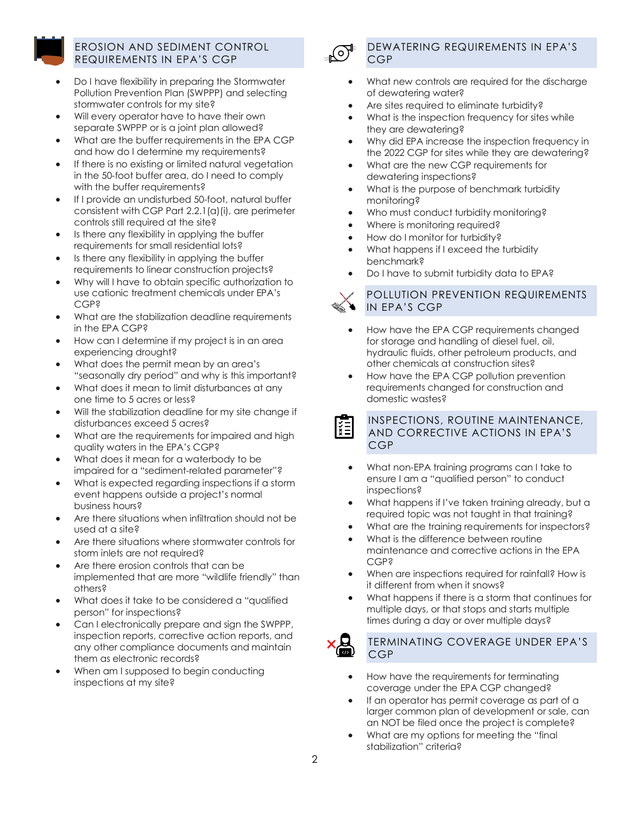

#### EROSION AND SEDIMENT CONTROL REQUIREMENTS IN EPA'S CGP

- [Pollution Prevention Plan \(SWPPP\) and selecting](#page-15-1) [stormwater controls for my site?](#page-15-1) • [Do I have flexibility in preparing the Stormwater](#page-15-1)
- • [Will every operator have to have their own](#page-15-2) [separate SWPPP or is a joint plan allowed?](#page-15-2)
- • [What are the buffer requirements in the EPA CGP](#page-16-0) [and how do I determine my requirements?](#page-16-0)
- • [If there is no existing or limited natural vegetation](#page-16-1) [in the 50-foot buffer area, do I need to comply](#page-16-1) [with the buffer requirements?](#page-16-1)
- [consistent with CGP Part 2.2.1\(a\)\(i\), are perimeter](#page-17-0) [controls still required at the site?](#page-17-0) • [If I provide an undisturbed 50-foot, natural buffer](#page-17-0)
- • [Is there any flexibility in applying the buffer](#page-17-1) [requirements for small residential lots?](#page-17-1)
- • [Is there any flexibility in applying the buffer](#page-18-0) [requirements to linear construction projects?](#page-18-0)
- • [Why will I have to obtain specific authorization to](#page-18-1) [use cationic treatment chemicals under EPA's](#page-18-1) [CGP?](#page-18-1)
- • [What are the stabilization deadline requirements](#page-19-0) [in the EPA CGP?](#page-19-0)
- • [How can I determine if my project is in an area](#page-20-0) [experiencing drought?](#page-20-0)
- • [What does the permit mean by an area's](#page-21-0) ["seasonally dry period" and why is this important?](#page-21-0)
- • [What does it mean to limit disturbances at any](#page-21-1) [one time to 5 acres or less?](#page-21-1)
- • [Will the stabilization deadline for my site change if](#page-21-2) [disturbances exceed 5 acres?](#page-21-2)
- • [What are the requirements for impaired and high](#page-22-0) [quality waters in the EPA's CGP?](#page-22-0)
- • [What does it mean for a waterbody to be](#page-22-1) [impaired for a "sediment-related parameter"?](#page-22-1)
- • [What is expected regarding inspections if a storm](#page-22-2) [event happens outside a project's normal](#page-22-2) [business hours?](#page-22-2)
- • [Are there situations when infiltration should not be](#page-22-3) [used at a site?](#page-22-3)
- • [Are there situations where stormwater controls for](#page-23-0) [storm inlets are not required?](#page-23-0)
- [implemented that are more "wildlife friendly" than](#page-23-1) • [Are there erosion controls that can be](#page-23-1) [others?](#page-23-1)
- • [What does it take to be considered a "qualified](#page-23-2) [person" for inspections?](#page-23-2)
- • [Can I electronically prepare and sign the SWPPP,](#page-24-0) [inspection reports, corrective action reports, and](#page-24-0) [any other compliance documents and maintain](#page-24-0) [them as electronic records?](#page-24-0)
- [inspections at my site?](#page-24-1) [When am I supposed to begin conducting](#page-24-1)



 $\frac{1}{2}$ 

#### DEWATERING REQUIREMENTS IN EPA'S CGP

- • [What new controls are required for the discharge](#page-24-2) [of dewatering water?](#page-24-2)
- [Are sites required to eliminate turbidity?](#page-25-0)
- • [What is the inspection frequency for sites while](#page-25-1) [they are dewatering?](#page-25-1)
- • [Why did EPA increase the inspection frequency in](#page-25-2) [the 2022 CGP for sites while they are dewatering?](#page-25-2)
- • [What are the new CGP requirements for](#page-26-0) [dewatering inspections?](#page-26-0)
- • [What is the purpose of benchmark turbidity](#page-27-0) [monitoring?](#page-27-0)
- [Who must conduct turbidity monitoring?](#page-27-1)
- [Where is monitoring required?](#page-27-2)
- [How do I monitor for turbidity?](#page-27-3)
- • [What happens if I exceed the turbidity](#page-28-0) [benchmark?](#page-28-0)
- [Do I have to submit turbidity data to EPA?](#page-28-1)

## POLLUTION PREVENTION REQUIREMENTS IN EPA'S CGP

- • [How have the EPA CGP requirements changed](#page-29-0) [for storage and handling of diesel fuel, oil,](#page-29-0) [hydraulic fluids, other petroleum products, and](#page-29-0) [other chemicals at construction sites?](#page-29-0)
- • [How have the EPA CGP pollution prevention](#page-29-1) [requirements changed for construction and](#page-29-1) [domestic wastes?](#page-29-1)

#### INSPECTIONS, ROUTINE MAINTENANCE, AND CORRECTIVE ACTIONS IN EPA'S CGP

- • [What non-EPA training programs can I take to](#page-30-0) [ensure I am a "qualified person" to conduct](#page-30-0) [inspections?](#page-30-0)
- • [What happens if I've taken training already, but a](#page-30-1) [required topic was not taught in that training?](#page-30-1)
- [What are the training requirements for inspectors?](#page-31-0)
- • [What is the difference between routine](#page-31-1) [maintenance and corrective actions in the EPA](#page-31-1) [CGP?](#page-31-1)
- • [When are inspections required for rainfall? How is](#page-31-2) [it different from when it snows?](#page-31-2)
- • [What happens if there is a storm that continues for](#page-32-0) [multiple days, or that stops and starts multiple](#page-32-0) [times during a day or over multiple days?](#page-32-0)



- • [How have the requirements for terminating](#page-32-1) [coverage under the EPA CGP changed?](#page-32-1)
- • [If an operator has permit coverage as part of a](#page-32-2) [an NOT be filed once the project is complete?](#page-32-2) [larger common plan of development or sale, can](#page-32-2)
- • [What are my options for meeting the "final](#page-33-0) [stabilization" criteria?](#page-33-0)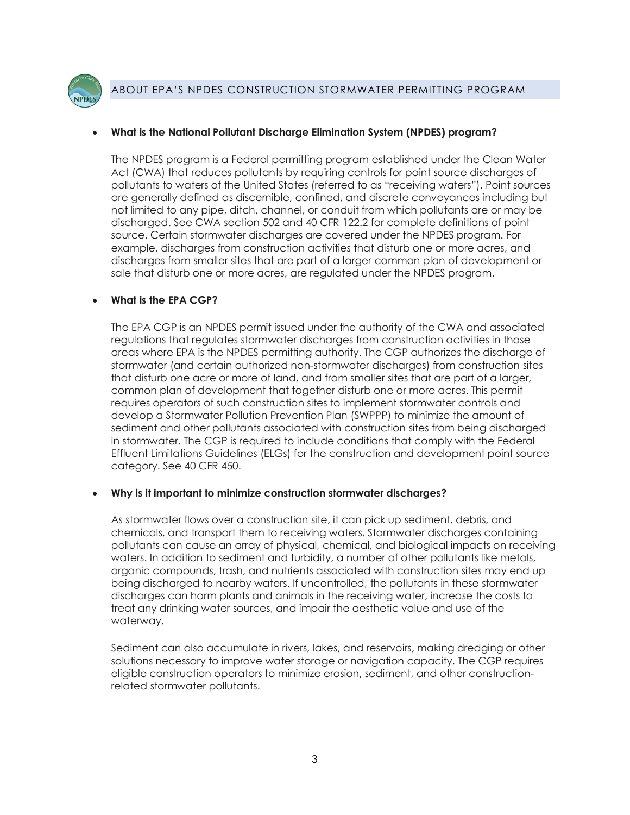

## <span id="page-2-0"></span>• **What is the National Pollutant Discharge Elimination System (NPDES) program?**

 not limited to any pipe, ditch, channel, or conduit from which pollutants are or may be discharges from smaller sites that are part of a larger common plan of development or sale that disturb one or more acres, are regulated under the NPDES program. The NPDES program is a Federal permitting program established under the Clean Water Act (CWA) that reduces pollutants by requiring controls for point source discharges of pollutants to waters of the United States (referred to as "receiving waters"). Point sources are generally defined as discernible, confined, and discrete conveyances including but discharged. See CWA section 502 and 40 CFR 122.2 for complete definitions of point source. Certain stormwater discharges are covered under the NPDES program. For example, discharges from construction activities that disturb one or more acres, and

## <span id="page-2-1"></span>• **What is the EPA CGP?**

 The EPA CGP is an NPDES permit issued under the authority of the CWA and associated areas where EPA is the NPDES permitting authority. The CGP authorizes the discharge of that disturb one acre or more of land, and from smaller sites that are part of a larger, develop a Stormwater Pollution Prevention Plan (SWPPP) to minimize the amount of in stormwater. The CGP is required to include conditions that comply with the Federal regulations that regulates stormwater discharges from construction activities in those stormwater (and certain authorized non-stormwater discharges) from construction sites common plan of development that together disturb one or more acres. This permit requires operators of such construction sites to implement stormwater controls and sediment and other pollutants associated with construction sites from being discharged Effluent Limitations Guidelines (ELGs) for the construction and development point source category. See 40 CFR 450.

#### <span id="page-2-2"></span>• **Why is it important to minimize construction stormwater discharges?**

 As stormwater flows over a construction site, it can pick up sediment, debris, and pollutants can cause an array of physical, chemical, and biological impacts on receiving waters. In addition to sediment and turbidity, a number of other pollutants like metals, organic compounds, trash, and nutrients associated with construction sites may end up discharges can harm plants and animals in the receiving water, increase the costs to treat any drinking water sources, and impair the aesthetic value and use of the chemicals, and transport them to receiving waters. Stormwater discharges containing being discharged to nearby waters. If uncontrolled, the pollutants in these stormwater waterway.

 Sediment can also accumulate in rivers, lakes, and reservoirs, making dredging or other solutions necessary to improve water storage or navigation capacity. The CGP requires eligible construction operators to minimize erosion, sediment, and other constructionrelated stormwater pollutants.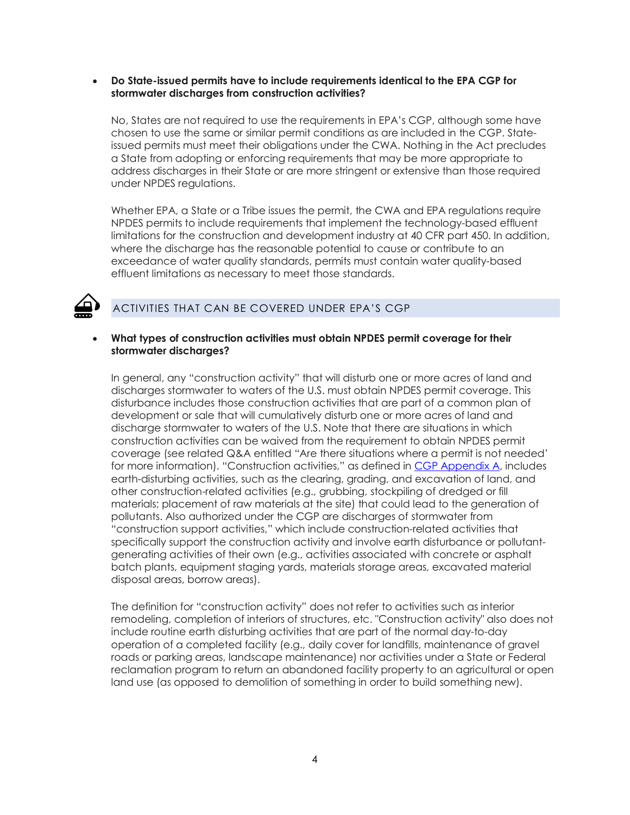#### <span id="page-3-0"></span> • **Do State-issued permits have to include requirements identical to the EPA CGP for stormwater discharges from construction activities?**

 a State from adopting or enforcing requirements that may be more appropriate to address discharges in their State or are more stringent or extensive than those required No, States are not required to use the requirements in EPA's CGP, although some have chosen to use the same or similar permit conditions as are included in the CGP. Stateissued permits must meet their obligations under the CWA. Nothing in the Act precludes under NPDES regulations.

 Whether EPA, a State or a Tribe issues the permit, the CWA and EPA regulations require limitations for the construction and development industry at 40 CFR part 450. In addition, where the discharge has the reasonable potential to cause or contribute to an exceedance of water quality standards, permits must contain water quality-based NPDES permits to include requirements that implement the technology-based effluent effluent limitations as necessary to meet those standards.



# ACTIVITIES THAT CAN BE COVERED UNDER EPA'S CGP

#### <span id="page-3-1"></span> • **What types of construction activities must obtain NPDES permit coverage for their stormwater discharges?**

 disturbance includes those construction activities that are part of a common plan of development or sale that will cumulatively disturb one or more acres of land and discharge stormwater to waters of the U.S. Note that there are situations in which construction activities can be waived from the requirement to obtain NPDES permit coverage (see related Q&A entitled "Are there situations where a permit is not needed' earth-disturbing activities, such as the clearing, grading, and excavation of land, and specifically support the construction activity and involve earth disturbance or pollutant- generating activities of their own (e.g., activities associated with concrete or asphalt In general, any "construction activity" that will disturb one or more acres of land and discharges stormwater to waters of the U.S. must obtain NPDES permit coverage. This for more information). "Construction activities," as defined in [CGP Appendix A,](https://www.epa.gov/system/files/documents/2022-01/2022-cgp-final-appendix-a-definitions.pdf) includes other construction-related activities (e.g., grubbing, stockpiling of dredged or fill materials; placement of raw materials at the site) that could lead to the generation of pollutants. Also authorized under the CGP are discharges of stormwater from "construction support activities," which include construction-related activities that batch plants, equipment staging yards, materials storage areas, excavated material disposal areas, borrow areas).

 include routine earth disturbing activities that are part of the normal day-to-day roads or parking areas, landscape maintenance) nor activities under a State or Federal reclamation program to return an abandoned facility property to an agricultural or open The definition for "construction activity" does not refer to activities such as interior remodeling, completion of interiors of structures, etc. "Construction activity" also does not operation of a completed facility (e.g., daily cover for landfills, maintenance of gravel land use (as opposed to demolition of something in order to build something new).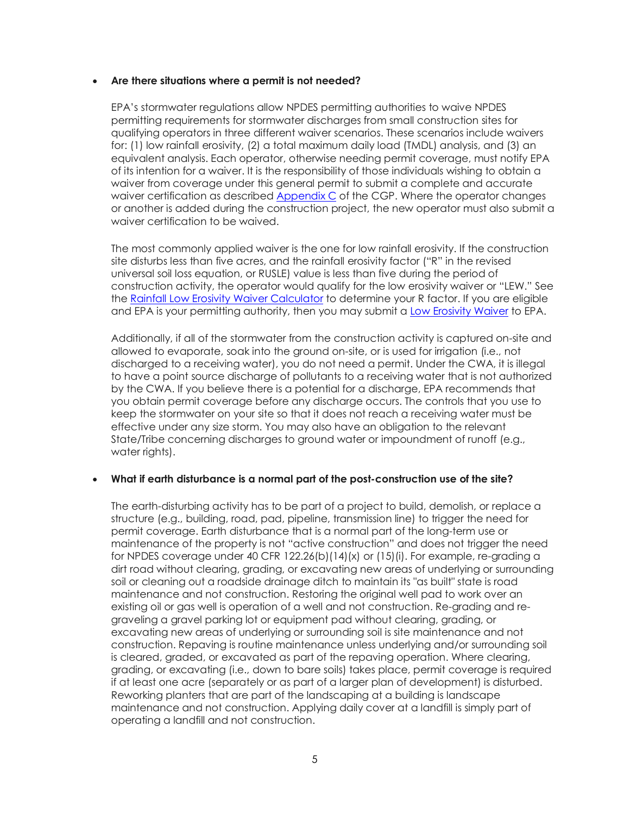#### <span id="page-4-0"></span> • **Are there situations where a permit is not needed?**

 EPA's stormwater regulations allow NPDES permitting authorities to waive NPDES of its intention for a waiver. It is the responsibility of those individuals wishing to obtain a waiver from coverage under this general permit to submit a complete and accurate or another is added during the construction project, the new operator must also submit a waiver certification to be waived permitting requirements for stormwater discharges from small construction sites for qualifying operators in three different waiver scenarios. These scenarios include waivers for: (1) low rainfall erosivity, (2) a total maximum daily load (TMDL) analysis, and (3) an equivalent analysis. Each operator, otherwise needing permit coverage, must notify EPA waiver certification as described **Appendix C** of the CGP. Where the operator changes

waiver certification to be waived.<br>The most commonly applied waiver is the one for low rainfall erosivity. If the construction site disturbs less than five acres, and the rainfall erosivity factor ("R" in the revised universal soil loss equation, or RUSLE) value is less than five during the period of the <u>Rainfall Low Erosivity Waiver Calculator</u> to determine your R factor. If you are eligible and EPA is your permitting authority, then you may submit a <u>Low Erosivity Waiver</u> to EPA. construction activity, the operator would qualify for the low erosivity waiver or "LEW." See

 Additionally, if all of the stormwater from the construction activity is captured on-site and discharged to a receiving water), you do not need a permit. Under the CWA, it is illegal to have a point source discharge of pollutants to a receiving water that is not authorized by the CWA. If you believe there is a potential for a discharge, EPA recommends that keep the stormwater on your site so that it does not reach a receiving water must be effective under any size storm. You may also have an obligation to the relevant State/Tribe concerning discharges to ground water or impoundment of runoff (e.g., allowed to evaporate, soak into the ground on-site, or is used for irrigation (i.e., not you obtain permit coverage before any discharge occurs. The controls that you use to water rights).

#### <span id="page-4-1"></span> • **What if earth disturbance is a normal part of the post-construction use of the site?**

 The earth-disturbing activity has to be part of a project to build, demolish, or replace a permit coverage. Earth disturbance that is a normal part of the long-term use or maintenance of the property is not "active construction" and does not trigger the need dirt road without clearing, grading, or excavating new areas of underlying or surrounding soil or cleaning out a roadside drainage ditch to maintain its "as built" state is road maintenance and not construction. Restoring the original well pad to work over an existing oil or gas well is operation of a well and not construction. Re-grading and re- construction. Repaving is routine maintenance unless underlying and/or surrounding soil is cleared, graded, or excavated as part of the repaving operation. Where clearing, if at least one acre (separately or as part of a larger plan of development) is disturbed. Reworking planters that are part of the landscaping at a building is landscape maintenance and not construction. Applying daily cover at a landfill is simply part of structure (e.g., building, road, pad, pipeline, transmission line) to trigger the need for for NPDES coverage under 40 CFR 122.26(b)(14)(x) or (15)(i). For example, re-grading a graveling a gravel parking lot or equipment pad without clearing, grading, or excavating new areas of underlying or surrounding soil is site maintenance and not grading, or excavating (i.e., down to bare soils) takes place, permit coverage is required operating a landfill and not construction.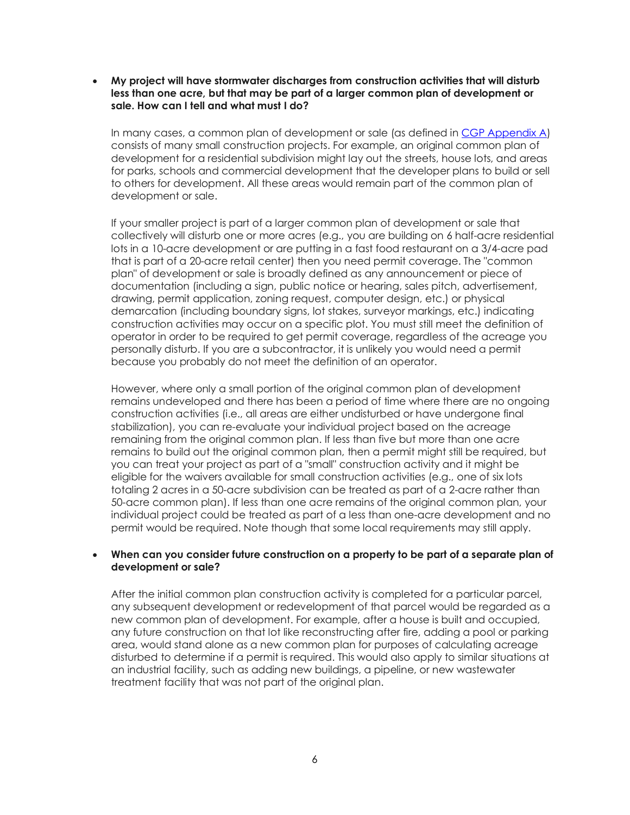<span id="page-5-0"></span> **less than one acre, but that may be part of a larger common plan of development or sale. How can I tell and what must I do?**  • **My project will have stormwater discharges from construction activities that will disturb** 

In many cases, a common plan of development or sale (as defined in <u>CGP Appendix A</u>) consists of many small construction projects. For example, an original common plan of for parks, schools and commercial development that the developer plans to build or sell development for a residential subdivision might lay out the streets, house lots, and areas to others for development. All these areas would remain part of the common plan of development or sale.

 If your smaller project is part of a larger common plan of development or sale that collectively will disturb one or more acres (e.g., you are building on 6 half-acre residential that is part of a 20-acre retail center) then you need permit coverage. The "common plan" of development or sale is broadly defined as any announcement or piece of drawing, permit application, zoning request, computer design, etc.) or physical construction activities may occur on a specific plot. You must still meet the definition of because you probably do not meet the definition of an operator. lots in a 10-acre development or are putting in a fast food restaurant on a 3/4-acre pad documentation (including a sign, public notice or hearing, sales pitch, advertisement, demarcation (including boundary signs, lot stakes, surveyor markings, etc.) indicating operator in order to be required to get permit coverage, regardless of the acreage you personally disturb. If you are a subcontractor, it is unlikely you would need a permit

 remains undeveloped and there has been a period of time where there are no ongoing construction activities (i.e., all areas are either undisturbed or have undergone final stabilization), you can re-evaluate your individual project based on the acreage remaining from the original common plan. If less than five but more than one acre remains to build out the original common plan, then a permit might still be required, but you can treat your project as part of a "small" construction activity and it might be eligible for the waivers available for small construction activities (e.g., one of six lots totaling 2 acres in a 50-acre subdivision can be treated as part of a 2-acre rather than permit would be required. Note though that some local requirements may still apply. However, where only a small portion of the original common plan of development 50-acre common plan). If less than one acre remains of the original common plan, your individual project could be treated as part of a less than one-acre development and no

#### <span id="page-5-1"></span> • **When can you consider future construction on a property to be part of a separate plan of development or sale?**

 After the initial common plan construction activity is completed for a particular parcel, any future construction on that lot like reconstructing after fire, adding a pool or parking disturbed to determine if a permit is required. This would also apply to similar situations at an industrial facility, such as adding new buildings, a pipeline, or new wastewater treatment facility that was not part of the original plan. any subsequent development or redevelopment of that parcel would be regarded as a new common plan of development. For example, after a house is built and occupied, area, would stand alone as a new common plan for purposes of calculating acreage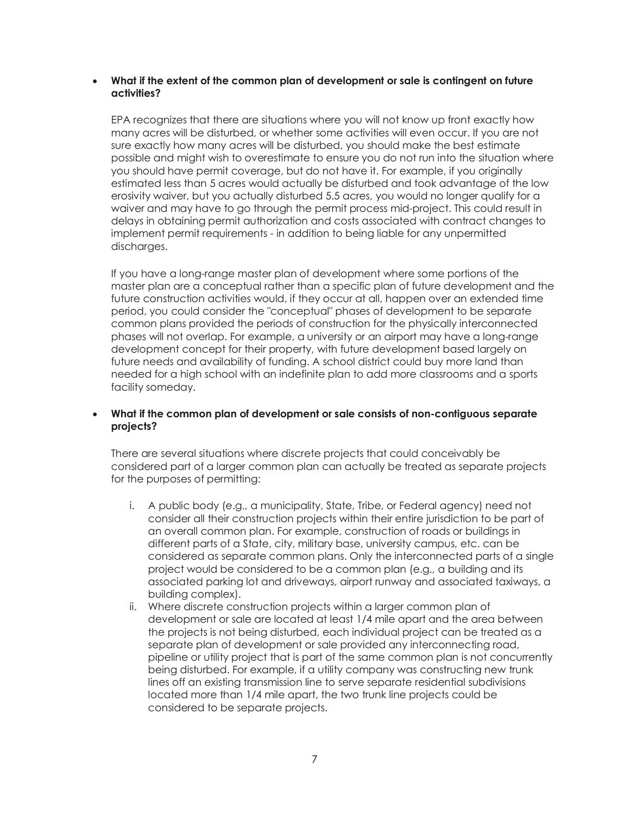#### <span id="page-6-0"></span> • **What if the extent of the common plan of development or sale is contingent on future activities?**

 EPA recognizes that there are situations where you will not know up front exactly how many acres will be disturbed, or whether some activities will even occur. If you are not possible and might wish to overestimate to ensure you do not run into the situation where you should have permit coverage, but do not have it. For example, if you originally estimated less than 5 acres would actually be disturbed and took advantage of the low erosivity waiver, but you actually disturbed 5.5 acres, you would no longer qualify for a delays in obtaining permit authorization and costs associated with contract changes to implement permit requirements - in addition to being liable for any unpermitted sure exactly how many acres will be disturbed, you should make the best estimate waiver and may have to go through the permit process mid-project. This could result in discharges.

 If you have a long-range master plan of development where some portions of the master plan are a conceptual rather than a specific plan of future development and the future construction activities would, if they occur at all, happen over an extended time phases will not overlap. For example, a university or an airport may have a long-range development concept for their property, with future development based largely on needed for a high school with an indefinite plan to add more classrooms and a sports period, you could consider the "conceptual" phases of development to be separate common plans provided the periods of construction for the physically interconnected future needs and availability of funding. A school district could buy more land than facility someday.

#### <span id="page-6-1"></span>• **What if the common plan of development or sale consists of non-contiguous separate projects?**

There are several situations where discrete projects that could conceivably be considered part of a larger common plan can actually be treated as separate projects for the purposes of permitting:

- consider all their construction projects within their entire jurisdiction to be part of an overall common plan. For example, construction of roads or buildings in considered as separate common plans. Only the interconnected parts of a single project would be considered to be a common plan (e.g., a building and its associated parking lot and driveways, airport runway and associated taxiways, a i. A public body (e.g., a municipality, State, Tribe, or Federal agency) need not different parts of a State, city, military base, university campus, etc. can be building complex).
- ii. Where discrete construction projects within a larger common plan of development or sale are located at least 1/4 mile apart and the area between the projects is not being disturbed, each individual project can be treated as a separate plan of development or sale provided any interconnecting road, pipeline or utility project that is part of the same common plan is not concurrently being disturbed. For example, if a utility company was constructing new trunk lines off an existing transmission line to serve separate residential subdivisions located more than 1/4 mile apart, the two trunk line projects could be considered to be separate projects.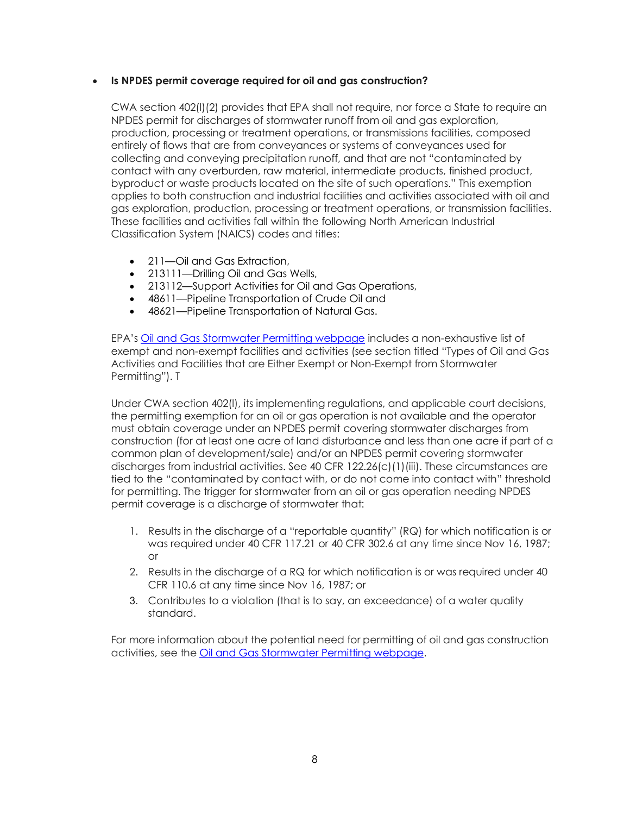## <span id="page-7-0"></span>• **Is NPDES permit coverage required for oil and gas construction?**

 collecting and conveying precipitation runoff, and that are not "contaminated by byproduct or waste products located on the site of such operations." This exemption CWA section 402(l)(2) provides that EPA shall not require, nor force a State to require an NPDES permit for discharges of stormwater runoff from oil and gas exploration, production, processing or treatment operations, or transmissions facilities, composed entirely of flows that are from conveyances or systems of conveyances used for contact with any overburden, raw material, intermediate products, finished product, applies to both construction and industrial facilities and activities associated with oil and gas exploration, production, processing or treatment operations, or transmission facilities. These facilities and activities fall within the following North American Industrial Classification System (NAICS) codes and titles:

- 211-Oil and Gas Extraction,
- 213111—Drilling Oil and Gas Wells,
- 213112—Support Activities for Oil and Gas Operations,
- 48611—Pipeline Transportation of Crude Oil and
- 48621—Pipeline Transportation of Natural Gas.

EPA's <u>Oil and Gas Stormwater Permitting webpage</u> includes a non-exhaustive list of exempt and non-exempt facilities and activities (see section titled "Types of Oil and Gas Permitting"). T Activities and Facilities that are Either Exempt or Non-Exempt from Stormwater

 Under CWA section 402(l), its implementing regulations, and applicable court decisions, the permitting exemption for an oil or gas operation is not available and the operator construction (for at least one acre of land disturbance and less than one acre if part of a common plan of development/sale) and/or an NPDES permit covering stormwater discharges from industrial activities. See 40 CFR 122.26(c)(1)(iii). These circumstances are must obtain coverage under an NPDES permit covering stormwater discharges from tied to the "contaminated by contact with, or do not come into contact with" threshold for permitting. The trigger for stormwater from an oil or gas operation needing NPDES permit coverage is a discharge of stormwater that:

- 1. Results in the discharge of a "reportable quantity" (RQ) for which notification is or was required under 40 CFR 117.21 or 40 CFR 302.6 at any time since Nov 16, 1987; or
- 2. Results in the discharge of a RQ for which notification is or was required under 40 CFR 110.6 at any time since Nov 16, 1987; or
- 3. Contributes to a violation (that is to say, an exceedance) of a water quality standard.

 For more information about the potential need for permitting of oil and gas construction activities, see the <u>Oil and Gas Stormwater Permitting webpage</u>.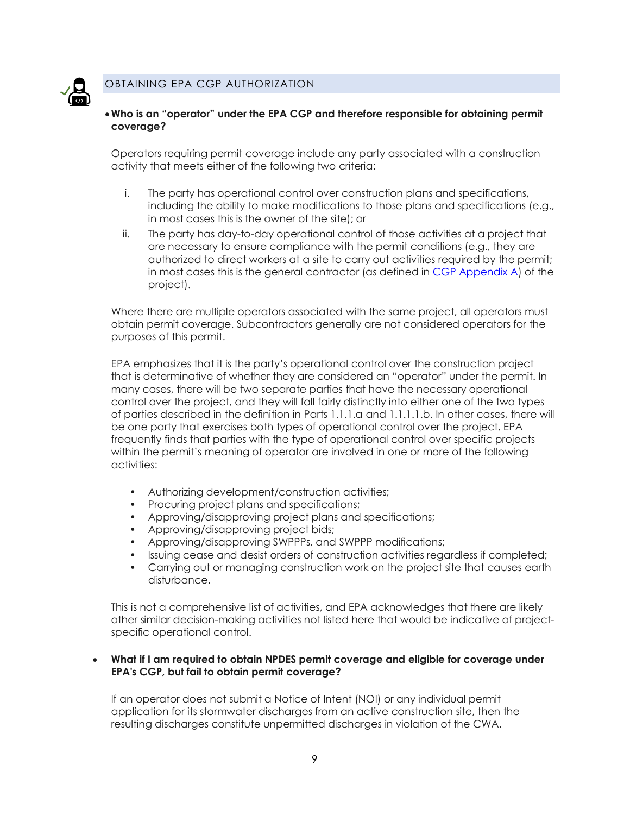

## OBTAINING EPA CGP AUTHORIZATION

## <span id="page-8-0"></span>•**Who is an "operator" under the EPA CGP and therefore responsible for obtaining permit coverage?**

 Operators requiring permit coverage include any party associated with a construction activity that meets either of the following two criteria:

- i. The party has operational control over construction plans and specifications, including the ability to make modifications to those plans and specifications (e.g., in most cases this is the owner of the site); or
- ii. The party has day-to-day operational control of those activities at a project that authorized to direct workers at a site to carry out activities required by the permit; in most cases this is the general contractor (as defined in <u>CGP Appendix A</u>) of the are necessary to ensure compliance with the permit conditions (e.g., they are project).

Where there are multiple operators associated with the same project, all operators must obtain permit coverage. Subcontractors generally are not considered operators for the purposes of this permit.

 EPA emphasizes that it is the party's operational control over the construction project that is determinative of whether they are considered an "operator" under the permit. In control over the project, and they will fall fairly distinctly into either one of the two types frequently finds that parties with the type of operational control over specific projects within the permit's meaning of operator are involved in one or more of the following many cases, there will be two separate parties that have the necessary operational of parties described in the definition in Parts 1.1.1.a and 1.1.1.1.b. In other cases, there will be one party that exercises both types of operational control over the project. EPA activities:

- Authorizing development/construction activities;
- Procuring project plans and specifications;
- Approving/disapproving project plans and specifications;
- Approving/disapproving project bids;
- Approving/disapproving SWPPPs, and SWPPP modifications;
- Issuing cease and desist orders of construction activities regardless if completed;
- Carrying out or managing construction work on the project site that causes earth disturbance.

 other similar decision-making activities not listed here that would be indicative of project-This is not a comprehensive list of activities, and EPA acknowledges that there are likely specific operational control.

#### <span id="page-8-1"></span> **EPA's CGP, but fail to obtain permit coverage?**  • **What if I am required to obtain NPDES permit coverage and eligible for coverage under**

 If an operator does not submit a Notice of Intent (NOI) or any individual permit resulting discharges constitute unpermitted discharges in violation of the CWA. application for its stormwater discharges from an active construction site, then the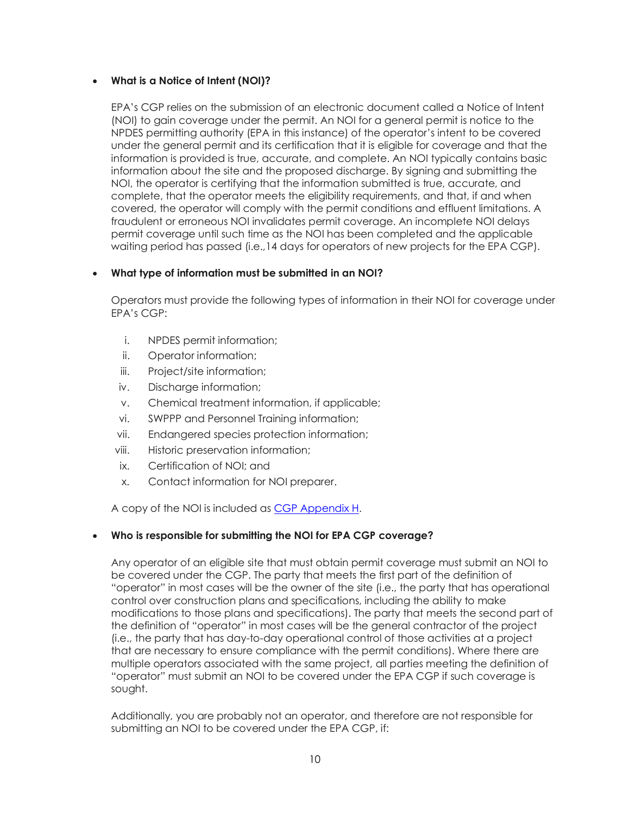## <span id="page-9-0"></span>• **What is a Notice of Intent (NOI)?**

 EPA's CGP relies on the submission of an electronic document called a Notice of Intent (NOI) to gain coverage under the permit. An NOI for a general permit is notice to the NPDES permitting authority (EPA in this instance) of the operator's intent to be covered information is provided is true, accurate, and complete. An NOI typically contains basic NOI, the operator is certifying that the information submitted is true, accurate, and complete, that the operator meets the eligibility requirements, and that, if and when under the general permit and its certification that it is eligible for coverage and that the information about the site and the proposed discharge. By signing and submitting the covered, the operator will comply with the permit conditions and effluent limitations. A fraudulent or erroneous NOI invalidates permit coverage. An incomplete NOI delays permit coverage until such time as the NOI has been completed and the applicable waiting period has passed (i.e.,14 days for operators of new projects for the EPA CGP).

## <span id="page-9-1"></span>• **What type of information must be submitted in an NOI?**

 EPA's CGP: Operators must provide the following types of information in their NOI for coverage under

- i. NPDES permit information;
- ii. Operator information;
- iii. Project/site information;
- iv. Discharge information;
- v. Chemical treatment information, if applicable;
- vi. SWPPP and Personnel Training information;
- vii. Endangered species protection information;
- viii. Historic preservation information;
- ix. Certification of NOI; and
- x. Contact information for NOI preparer.

A copy of the NOI is included as <u>CGP Appendix H</u>.

#### <span id="page-9-2"></span> • **Who is responsible for submitting the NOI for EPA CGP coverage?**

 Any operator of an eligible site that must obtain permit coverage must submit an NOI to be covered under the CGP. The party that meets the first part of the definition of "operator" in most cases will be the owner of the site (i.e., the party that has operational that are necessary to ensure compliance with the permit conditions). Where there are multiple operators associated with the same project, all parties meeting the definition of "operator" must submit an NOI to be covered under the EPA CGP if such coverage is control over construction plans and specifications, including the ability to make modifications to those plans and specifications). The party that meets the second part of the definition of "operator" in most cases will be the general contractor of the project (i.e., the party that has day-to-day operational control of those activities at a project sought.

 Additionally, you are probably not an operator, and therefore are not responsible for submitting an NOI to be covered under the EPA CGP, if: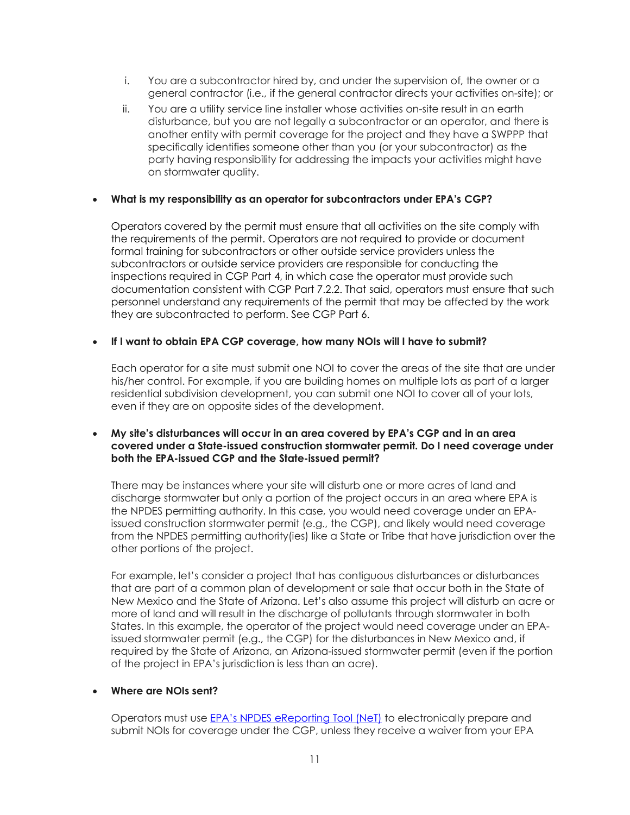- i. You are a subcontractor hired by, and under the supervision of, the owner or a general contractor (i.e., if the general contractor directs your activities on-site); or
- ii. You are a utility service line installer whose activities on-site result in an earth disturbance, but you are not legally a subcontractor or an operator, and there is another entity with permit coverage for the project and they have a SWPPP that specifically identifies someone other than you (or your subcontractor) as the party having responsibility for addressing the impacts your activities might have on stormwater quality.

## <span id="page-10-0"></span>• **What is my responsibility as an operator for subcontractors under EPA's CGP?**

 personnel understand any requirements of the permit that may be affected by the work Operators covered by the permit must ensure that all activities on the site comply with the requirements of the permit. Operators are not required to provide or document formal training for subcontractors or other outside service providers unless the subcontractors or outside service providers are responsible for conducting the inspections required in CGP Part 4, in which case the operator must provide such documentation consistent with CGP Part 7.2.2. That said, operators must ensure that such they are subcontracted to perform. See CGP Part 6.

## <span id="page-10-1"></span> • **If I want to obtain EPA CGP coverage, how many NOIs will I have to submit?**

 his/her control. For example, if you are building homes on multiple lots as part of a larger even if they are on opposite sides of the development. Each operator for a site must submit one NOI to cover the areas of the site that are under residential subdivision development, you can submit one NOI to cover all of your lots,

#### <span id="page-10-2"></span> • **My site's disturbances will occur in an area covered by EPA's CGP and in an area covered under a State-issued construction stormwater permit. Do I need coverage under both the EPA-issued CGP and the State-issued permit?**

 There may be instances where your site will disturb one or more acres of land and discharge stormwater but only a portion of the project occurs in an area where EPA is issued construction stormwater permit (e.g., the CGP), and likely would need coverage the NPDES permitting authority. In this case, you would need coverage under an EPAfrom the NPDES permitting authority(ies) like a State or Tribe that have jurisdiction over the other portions of the project.

 New Mexico and the State of Arizona. Let's also assume this project will disturb an acre or more of land and will result in the discharge of pollutants through stormwater in both States. In this example, the operator of the project would need coverage under an EPA- issued stormwater permit (e.g., the CGP) for the disturbances in New Mexico and, if required by the State of Arizona, an Arizona-issued stormwater permit (even if the portion of the project in EPA's jurisdiction is less than an acre). For example, let's consider a project that has contiguous disturbances or disturbances that are part of a common plan of development or sale that occur both in the State of

#### <span id="page-10-3"></span>• **Where are NOIs sent?**

 submit NOIs for coverage under the CGP, unless they receive a waiver from your EPA Operators must use [EPA's NPDES eReporting Tool \(NeT\)](https://npdes-ereporting.epa.gov/net-cgp/action/login) to electronically prepare and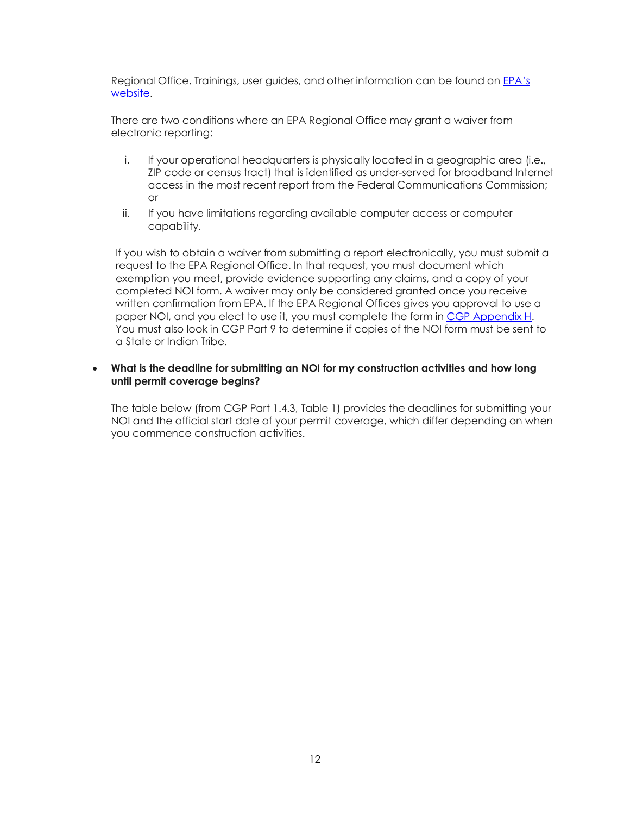Regional Office. Trainings, user guides, and other information can be found on <u>EPA's</u> [website.](https://www.epa.gov/npdes/submitting-notice-intent-noi-notice-termination-not-or-low-erosivity-waiver-lew-under)

 There are two conditions where an EPA Regional Office may grant a waiver from electronic reporting:

- i. If your operational headquarters is physically located in a geographic area (i.e., access in the most recent report from the Federal Communications Commission; ZIP code or census tract) that is identified as under-served for broadband Internet or
- ii. If you have limitations regarding available computer access or computer capability.

 If you wish to obtain a waiver from submitting a report electronically, you must submit a request to the EPA Regional Office. In that request, you must document which exemption you meet, provide evidence supporting any claims, and a copy of your completed NOI form. A waiver may only be considered granted once you receive written confirmation from EPA. If the EPA Regional Offices gives you approval to use a paper NOI, and you elect to use it, you must complete the form in [CGP Appendix H.](https://www.epa.gov/system/files/documents/2022-01/2022-cgp-final-appendix-h-noi.pdf) You must also look in CGP Part 9 to determine if copies of the NOI form must be sent to a State or Indian Tribe.

#### <span id="page-11-0"></span> • **What is the deadline for submitting an NOI for my construction activities and how long until permit coverage begins?**

 NOI and the official start date of your permit coverage, which differ depending on when The table below (from CGP Part 1.4.3, Table 1) provides the deadlines for submitting your you commence construction activities.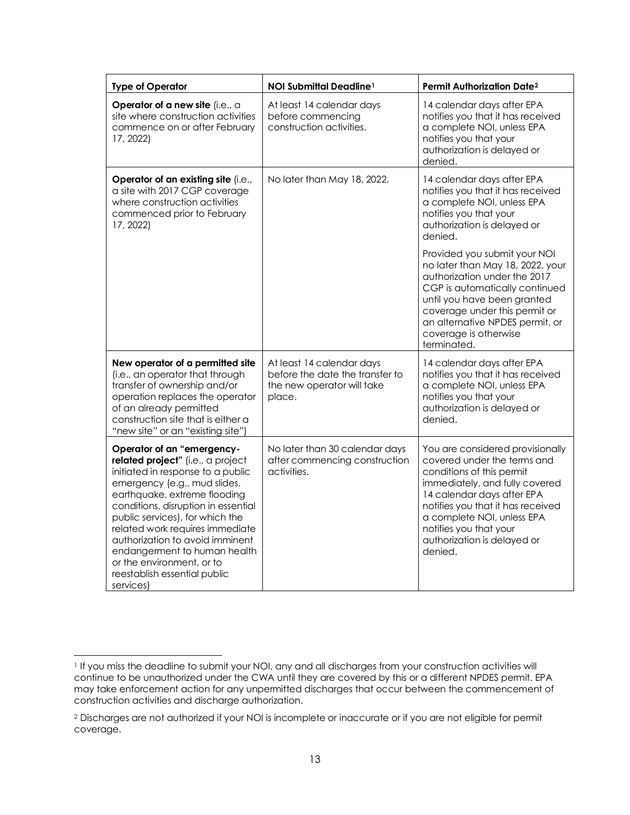| <b>Type of Operator</b>                                                                                                                                                                                                                                                                                                                                                                                                        | NOI Submittal Deadline <sup>1</sup>                                                                  | Permit Authorization Date <sup>2</sup>                                                                                                                                                                                                                                                              |
|--------------------------------------------------------------------------------------------------------------------------------------------------------------------------------------------------------------------------------------------------------------------------------------------------------------------------------------------------------------------------------------------------------------------------------|------------------------------------------------------------------------------------------------------|-----------------------------------------------------------------------------------------------------------------------------------------------------------------------------------------------------------------------------------------------------------------------------------------------------|
| Operator of a new site (i.e., a<br>site where construction activities<br>commence on or after February<br>17, 2022)                                                                                                                                                                                                                                                                                                            | At least 14 calendar days<br>before commencing<br>construction activities.                           | 14 calendar days after EPA<br>notifies you that it has received<br>a complete NOI, unless EPA<br>notifies you that your<br>authorization is delayed or<br>denied.                                                                                                                                   |
| Operator of an existing site (i.e.,<br>a site with 2017 CGP coverage<br>where construction activities<br>commenced prior to February<br>17, 2022)                                                                                                                                                                                                                                                                              | No later than May 18, 2022.                                                                          | 14 calendar days after EPA<br>notifies you that it has received<br>a complete NOI, unless EPA<br>notifies you that your<br>authorization is delayed or<br>denied.                                                                                                                                   |
|                                                                                                                                                                                                                                                                                                                                                                                                                                |                                                                                                      | Provided you submit your NOI<br>no later than May 18, 2022, your<br>authorization under the 2017<br>CGP is automatically continued<br>until you have been granted<br>coverage under this permit or<br>an alternative NPDES permit, or<br>coverage is otherwise<br>terminated.                       |
| New operator of a permitted site<br>(i.e., an operator that through<br>transfer of ownership and/or<br>operation replaces the operator<br>of an already permitted<br>construction site that is either a<br>"new site" or an "existing site")                                                                                                                                                                                   | At least 14 calendar days<br>before the date the transfer to<br>the new operator will take<br>place. | 14 calendar days after EPA<br>notifies you that it has received<br>a complete NOI, unless EPA<br>notifies you that your<br>authorization is delayed or<br>denied.                                                                                                                                   |
| Operator of an "emergency-<br>related project" (i.e., a project<br>initiated in response to a public<br>emergency (e.g., mud slides,<br>earthquake, extreme flooding<br>conditions, disruption in essential<br>public services), for which the<br>related work requires immediate<br>authorization to avoid imminent<br>endangerment to human health<br>or the environment, or to<br>reestablish essential public<br>services) | No later than 30 calendar days<br>after commencing construction<br>activities.                       | You are considered provisionally<br>covered under the terms and<br>conditions of this permit<br>immediately, and fully covered<br>14 calendar days after EPA<br>notifies you that it has received<br>a complete NOI, unless EPA<br>notifies you that your<br>authorization is delayed or<br>denied. |

<span id="page-12-0"></span> 1 If you miss the deadline to submit your NOI, any and all discharges from your construction activities will continue to be unauthorized under the CWA until they are covered by this or a different NPDES permit. EPA may take enforcement action for any unpermitted discharges that occur between the commencement of construction activities and discharge authorization.

<span id="page-12-1"></span> 2 Discharges are not authorized if your NOI is incomplete or inaccurate or if you are not eligible for permit coverage.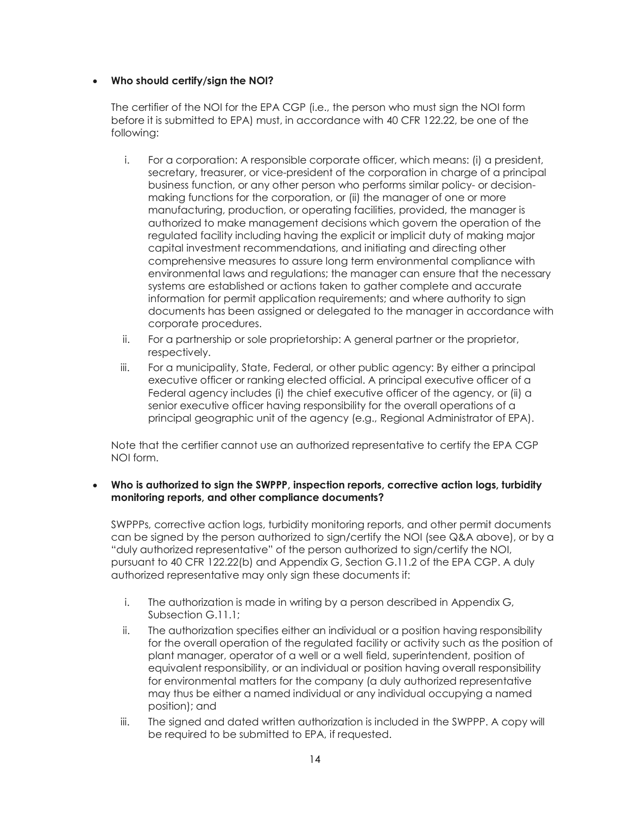## <span id="page-13-0"></span>• **Who should certify/sign the NOI?**

 before it is submitted to EPA) must, in accordance with 40 CFR 122.22, be one of the The certifier of the NOI for the EPA CGP (i.e., the person who must sign the NOI form following:

- making functions for the corporation, or (ii) the manager of one or more manufacturing, production, or operating facilities, provided, the manager is regulated facility including having the explicit or implicit duty of making major capital investment recommendations, and initiating and directing other i. For a corporation: A responsible corporate officer, which means: (i) a president, secretary, treasurer, or vice-president of the corporation in charge of a principal business function, or any other person who performs similar policy- or decisionauthorized to make management decisions which govern the operation of the comprehensive measures to assure long term environmental compliance with environmental laws and regulations; the manager can ensure that the necessary systems are established or actions taken to gather complete and accurate information for permit application requirements; and where authority to sign documents has been assigned or delegated to the manager in accordance with corporate procedures.
- ii. For a partnership or sole proprietorship: A general partner or the proprietor, respectively.
- iii. For a municipality, State, Federal, or other public agency: By either a principal Federal agency includes (i) the chief executive officer of the agency, or (ii) a senior executive officer having responsibility for the overall operations of a principal geographic unit of the agency (e.g., Regional Administrator of EPA). executive officer or ranking elected official. A principal executive officer of a

Note that the certifier cannot use an authorized representative to certify the EPA CGP NOI form.

## <span id="page-13-1"></span>• **Who is authorized to sign the SWPPP, inspection reports, corrective action logs, turbidity monitoring reports, and other compliance documents?**

 can be signed by the person authorized to sign/certify the NOI (see Q&A above), or by a "duly authorized representative" of the person authorized to sign/certify the NOI, pursuant to 40 CFR 122.22(b) and Appendix G, Section G.11.2 of the EPA CGP. A duly SWPPPs, corrective action logs, turbidity monitoring reports, and other permit documents authorized representative may only sign these documents if:

- i. The authorization is made in writing by a person described in Appendix G, Subsection G.11.1;
- for the overall operation of the regulated facility or activity such as the position of may thus be either a named individual or any individual occupying a named ii. The authorization specifies either an individual or a position having responsibility plant manager, operator of a well or a well field, superintendent, position of equivalent responsibility, or an individual or position having overall responsibility for environmental matters for the company (a duly authorized representative position); and
- iii. The signed and dated written authorization is included in the SWPPP. A copy will be required to be submitted to EPA, if requested.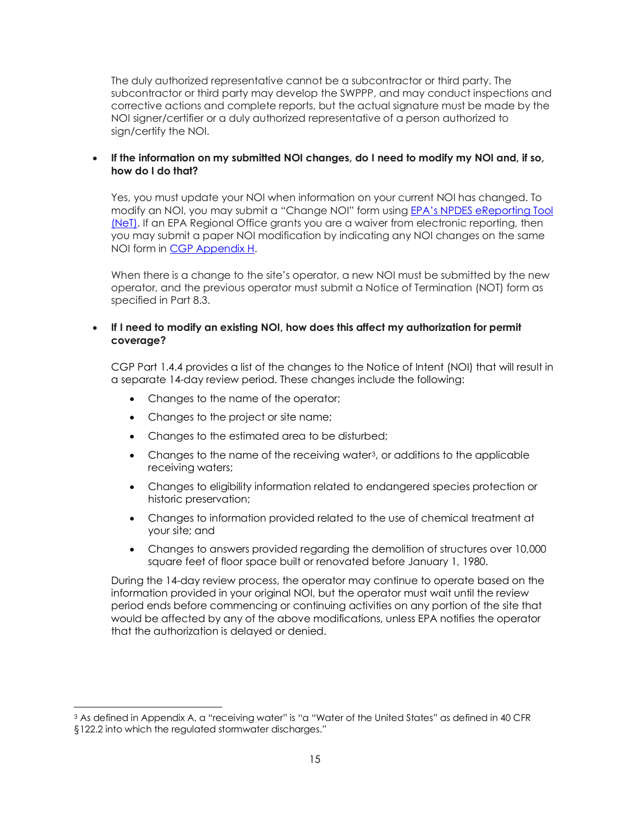The duly authorized representative cannot be a subcontractor or third party. The subcontractor or third party may develop the SWPPP, and may conduct inspections and corrective actions and complete reports, but the actual signature must be made by the NOI signer/certifier or a duly authorized representative of a person authorized to sign/certify the NOI.

#### <span id="page-14-0"></span> • **If the information on my submitted NOI changes, do I need to modify my NOI and, if so, how do I do that?**

 Yes, you must update your NOI when information on your current NOI has changed. To modify an NOI, you may submit a "Change NOI" form using <u>EPA's NPDES eReporting Tool</u> [\(NeT\).](https://npdes-ereporting.epa.gov/net-cgp/action/login) If an EPA Regional Office grants you are a waiver from electronic reporting, then you may submit a paper NOI modification by indicating any NOI changes on the same NOI form in [CGP Appendix H.](https://www.epa.gov/system/files/documents/2022-01/2022-cgp-final-appendix-h-noi.pdf)

 When there is a change to the site's operator, a new NOI must be submitted by the new operator, and the previous operator must submit a Notice of Termination (NOT) form as specified in Part 8.3.

#### <span id="page-14-1"></span> • **If I need to modify an existing NOI, how does this affect my authorization for permit coverage?**

 CGP Part 1.4.4 provides a list of the changes to the Notice of Intent (NOI) that will result in a separate 14-day review period. These changes include the following:

- Changes to the name of the operator;
- Changes to the project or site name;
- Changes to the estimated area to be disturbed;
- Changes to the name of the receiving wate[r3](#page-14-2), or additions to the applicable receiving waters;
- Changes to eligibility information related to endangered species protection or historic preservation;
- • Changes to information provided related to the use of chemical treatment at your site; and
- Changes to answers provided regarding the demolition of structures over 10,000 square feet of floor space built or renovated before January 1, 1980.

During the 14-day review process, the operator may continue to operate based on the information provided in your original NOI, but the operator must wait until the review period ends before commencing or continuing activities on any portion of the site that would be affected by any of the above modifications, unless EPA notifies the operator that the authorization is delayed or denied.

<span id="page-14-2"></span> $^{\rm 3}$  As defined in Appendix A, a "receiving water" is "a "Water of the United States" as defined in 40 CFR §122.2 into which the regulated stormwater discharges."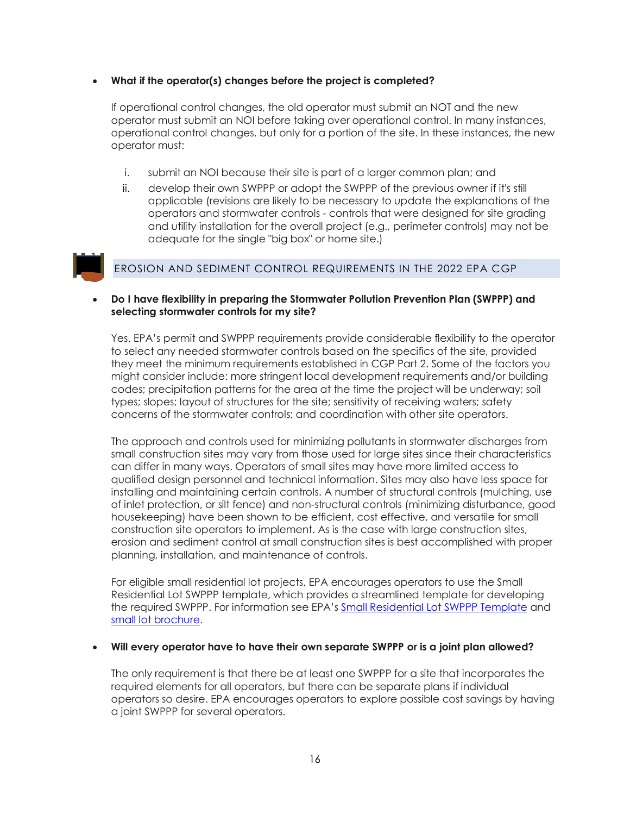#### <span id="page-15-0"></span>• **What if the operator(s) changes before the project is completed?**

 If operational control changes, the old operator must submit an NOT and the new operator must submit an NOI before taking over operational control. In many instances, operational control changes, but only for a portion of the site. In these instances, the new operator must:

- i. submit an NOI because their site is part of a larger common plan; and
- and utility installation for the overall project (e.g., perimeter controls) may not be adequate for the single "big box" or home site.) ii. develop their own SWPPP or adopt the SWPPP of the previous owner if it's still applicable (revisions are likely to be necessary to update the explanations of the operators and stormwater controls - controls that were designed for site grading



## EROSION AND SEDIMENT CONTROL REQUIREMENTS IN THE 2022 EPA CGP

#### <span id="page-15-1"></span> • **Do I have flexibility in preparing the Stormwater Pollution Prevention Plan (SWPPP) and selecting stormwater controls for my site?**

 to select any needed stormwater controls based on the specifics of the site, provided might consider include: more stringent local development requirements and/or building codes; precipitation patterns for the area at the time the project will be underway; soil types; slopes; layout of structures for the site; sensitivity of receiving waters; safety Yes. EPA's permit and SWPPP requirements provide considerable flexibility to the operator they meet the minimum requirements established in CGP Part 2. Some of the factors you concerns of the stormwater controls; and coordination with other site operators.

 can differ in many ways. Operators of small sites may have more limited access to qualified design personnel and technical information. Sites may also have less space for of inlet protection, or silt fence) and non-structural controls (minimizing disturbance, good erosion and sediment control at small construction sites is best accomplished with proper The approach and controls used for minimizing pollutants in stormwater discharges from small construction sites may vary from those used for large sites since their characteristics installing and maintaining certain controls. A number of structural controls (mulching, use housekeeping) have been shown to be efficient, cost effective, and versatile for small construction site operators to implement. As is the case with large construction sites, planning, installation, and maintenance of controls.

 For eligible small residential lot projects, EPA encourages operators to use the Small Residential Lot SWPPP template, which provides a streamlined template for developing the required SWPPP. For information see EPA'[s Small Residential Lot SWPPP Template](https://www.epa.gov/system/files/documents/2021-07/cgp_small_residential_lot_swppp_template_final_draft_11-30-15_0.docx) and [small lot brochure.](https://www.epa.gov/npdes/developing-stormwater-pollution-prevention-plan-swppp)

#### <span id="page-15-2"></span> • **Will every operator have to have their own separate SWPPP or is a joint plan allowed?**

 The only requirement is that there be at least one SWPPP for a site that incorporates the required elements for all operators, but there can be separate plans if individual operators so desire. EPA encourages operators to explore possible cost savings by having a joint SWPPP for several operators.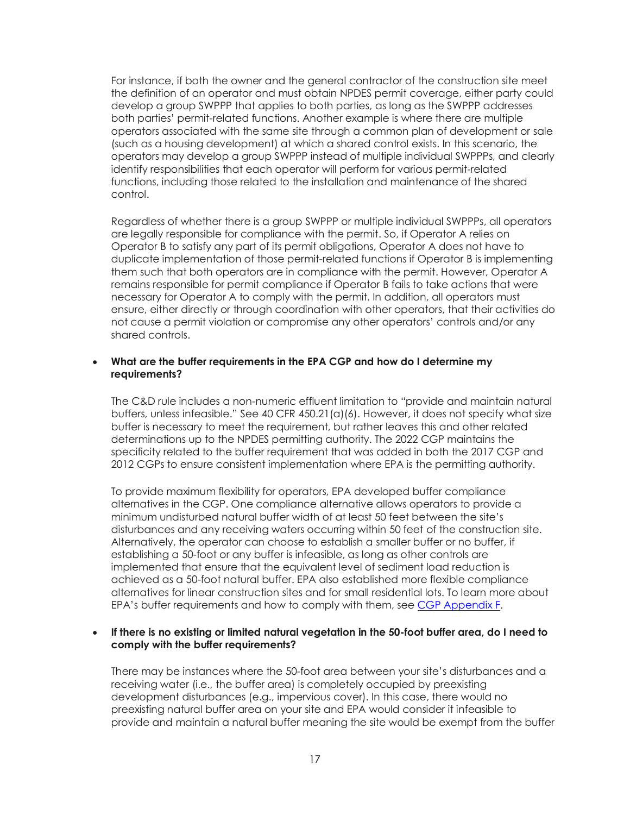operators associated with the same site through a common plan of development or sale (such as a housing development) at which a shared control exists. In this scenario, the operators may develop a group SWPPP instead of multiple individual SWPPPs, and clearly For instance, if both the owner and the general contractor of the construction site meet the definition of an operator and must obtain NPDES permit coverage, either party could develop a group SWPPP that applies to both parties, as long as the SWPPP addresses both parties' permit-related functions. Another example is where there are multiple identify responsibilities that each operator will perform for various permit-related functions, including those related to the installation and maintenance of the shared control.

 Regardless of whether there is a group SWPPP or multiple individual SWPPPs, all operators are legally responsible for compliance with the permit. So, if Operator A relies on Operator B to satisfy any part of its permit obligations, Operator A does not have to duplicate implementation of those permit-related functions if Operator B is implementing remains responsible for permit compliance if Operator B fails to take actions that were ensure, either directly or through coordination with other operators, that their activities do not cause a permit violation or compromise any other operators' controls and/or any them such that both operators are in compliance with the permit. However, Operator A necessary for Operator A to comply with the permit. In addition, all operators must shared controls.

#### <span id="page-16-0"></span> • **What are the buffer requirements in the EPA CGP and how do I determine my requirements?**

 The C&D rule includes a non-numeric effluent limitation to "provide and maintain natural buffer is necessary to meet the requirement, but rather leaves this and other related determinations up to the NPDES permitting authority. The 2022 CGP maintains the specificity related to the buffer requirement that was added in both the 2017 CGP and 2012 CGPs to ensure consistent implementation where EPA is the permitting authority. buffers, unless infeasible." See 40 CFR 450.21(a)(6). However, it does not specify what size

 To provide maximum flexibility for operators, EPA developed buffer compliance alternatives in the CGP. One compliance alternative allows operators to provide a minimum undisturbed natural buffer width of at least 50 feet between the site's disturbances and any receiving waters occurring within 50 feet of the construction site. Alternatively, the operator can choose to establish a smaller buffer or no buffer, if establishing a 50-foot or any buffer is infeasible, as long as other controls are implemented that ensure that the equivalent level of sediment load reduction is achieved as a 50-foot natural buffer. EPA also established more flexible compliance alternatives for linear construction sites and for small residential lots. To learn more about EPA's buffer requirements and how to comply with them, se[e CGP Appendix F.](https://www.epa.gov/system/files/documents/2022-01/2022-cgp-final-appendix-f-buffer-reqs.pdf)

#### <span id="page-16-1"></span>• **If there is no existing or limited natural vegetation in the 50-foot buffer area, do I need to comply with the buffer requirements?**

 There may be instances where the 50-foot area between your site's disturbances and a preexisting natural buffer area on your site and EPA would consider it infeasible to receiving water (i.e., the buffer area) is completely occupied by preexisting development disturbances (e.g., impervious cover). In this case, there would no provide and maintain a natural buffer meaning the site would be exempt from the buffer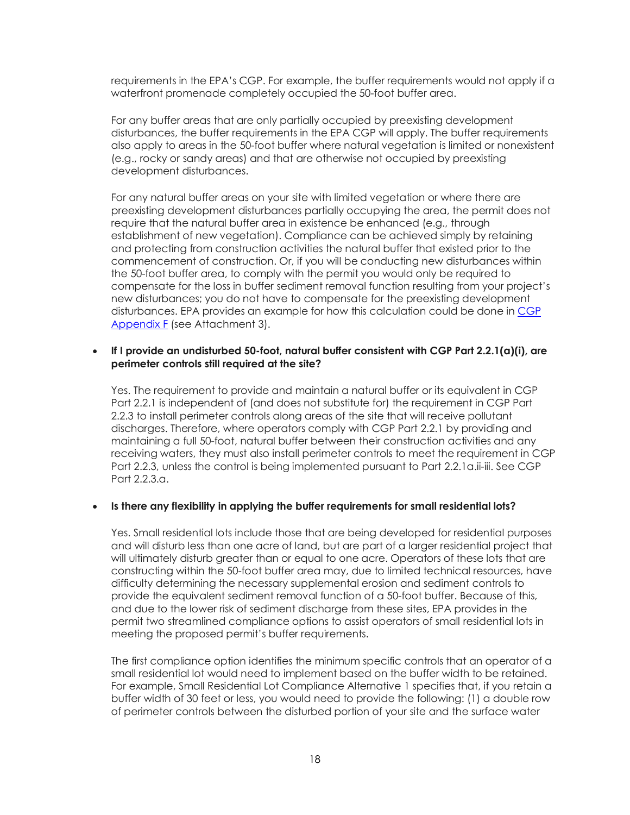requirements in the EPA's CGP. For example, the buffer requirements would not apply if a waterfront promenade completely occupied the 50-foot buffer area.

 For any buffer areas that are only partially occupied by preexisting development disturbances, the buffer requirements in the EPA CGP will apply. The buffer requirements also apply to areas in the 50-foot buffer where natural vegetation is limited or nonexistent (e.g., rocky or sandy areas) and that are otherwise not occupied by preexisting development disturbances.

 For any natural buffer areas on your site with limited vegetation or where there are preexisting development disturbances partially occupying the area, the permit does not require that the natural buffer area in existence be enhanced (e.g., through commencement of construction. Or, if you will be conducting new disturbances within the 50-foot buffer area, to comply with the permit you would only be required to compensate for the loss in buffer sediment removal function resulting from your project's new disturbances; you do not have to compensate for the preexisting development establishment of new vegetation). Compliance can be achieved simply by retaining and protecting from construction activities the natural buffer that existed prior to the disturbances. EPA provides an example for how this calculation could be done in CGP [Appendix F](https://www.epa.gov/system/files/documents/2022-01/2022-cgp-final-appendix-f-buffer-reqs.pdf) (see Attachment 3).

#### <span id="page-17-0"></span>• **If I provide an undisturbed 50-foot, natural buffer consistent with CGP Part 2.2.1(a)(i), are perimeter controls still required at the site?**

 Yes. The requirement to provide and maintain a natural buffer or its equivalent in CGP Part 2.2.1 is independent of (and does not substitute for) the requirement in CGP Part discharges. Therefore, where operators comply with CGP Part 2.2.1 by providing and receiving waters, they must also install perimeter controls to meet the requirement in CGP Part 2.2.3, unless the control is being implemented pursuant to Part 2.2.1a.ii-iii. See CGP 2.2.3 to install perimeter controls along areas of the site that will receive pollutant maintaining a full 50-foot, natural buffer between their construction activities and any Part 2.2.3.a.

#### <span id="page-17-1"></span> • **Is there any flexibility in applying the buffer requirements for small residential lots?**

 and will disturb less than one acre of land, but are part of a larger residential project that will ultimately disturb greater than or equal to one acre. Operators of these lots that are constructing within the 50-foot buffer area may, due to limited technical resources, have difficulty determining the necessary supplemental erosion and sediment controls to permit two streamlined compliance options to assist operators of small residential lots in Yes. Small residential lots include those that are being developed for residential purposes provide the equivalent sediment removal function of a 50-foot buffer. Because of this, and due to the lower risk of sediment discharge from these sites, EPA provides in the meeting the proposed permit's buffer requirements.

 The first compliance option identifies the minimum specific controls that an operator of a small residential lot would need to implement based on the buffer width to be retained. buffer width of 30 feet or less, you would need to provide the following: (1) a double row For example, Small Residential Lot Compliance Alternative 1 specifies that, if you retain a of perimeter controls between the disturbed portion of your site and the surface water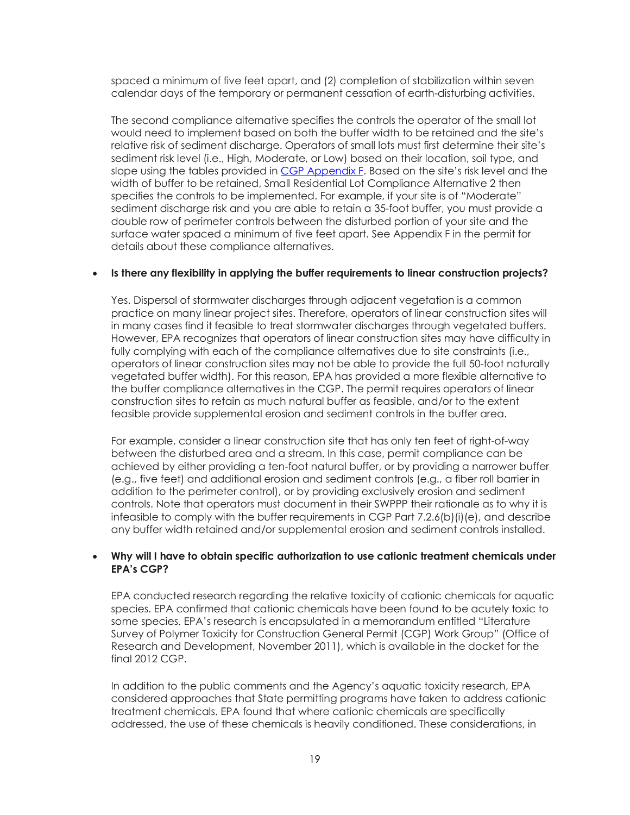calendar days of the temporary or permanent cessation of earth-disturbing activities. spaced a minimum of five feet apart, and (2) completion of stabilization within seven

 The second compliance alternative specifies the controls the operator of the small lot would need to implement based on both the buffer width to be retained and the site's relative risk of sediment discharge. Operators of small lots must first determine their site's sediment risk level (i.e., High, Moderate, or Low) based on their location, soil type, and sediment discharge risk and you are able to retain a 35-foot buffer, you must provide a slope using the tables provided in [CGP Appendix F.](https://www.epa.gov/system/files/documents/2022-01/2022-cgp-final-appendix-f-buffer-reqs.pdf) Based on the site's risk level and the width of buffer to be retained, Small Residential Lot Compliance Alternative 2 then specifies the controls to be implemented. For example, if your site is of "Moderate" double row of perimeter controls between the disturbed portion of your site and the surface water spaced a minimum of five feet apart. See Appendix F in the permit for details about these compliance alternatives.

#### <span id="page-18-0"></span> • **Is there any flexibility in applying the buffer requirements to linear construction projects?**

 practice on many linear project sites. Therefore, operators of linear construction sites will However, EPA recognizes that operators of linear construction sites may have difficulty in fully complying with each of the compliance alternatives due to site constraints (i.e., vegetated buffer width). For this reason, EPA has provided a more flexible alternative to the buffer compliance alternatives in the CGP. The permit requires operators of linear construction sites to retain as much natural buffer as feasible, and/or to the extent Yes. Dispersal of stormwater discharges through adjacent vegetation is a common in many cases find it feasible to treat stormwater discharges through vegetated buffers. operators of linear construction sites may not be able to provide the full 50-foot naturally feasible provide supplemental erosion and sediment controls in the buffer area.

 between the disturbed area and a stream. In this case, permit compliance can be achieved by either providing a ten-foot natural buffer, or by providing a narrower buffer (e.g., five feet) and additional erosion and sediment controls (e.g., a fiber roll barrier in any buffer width retained and/or supplemental erosion and sediment controls installed. For example, consider a linear construction site that has only ten feet of right-of-way addition to the perimeter control), or by providing exclusively erosion and sediment controls. Note that operators must document in their SWPPP their rationale as to why it is infeasible to comply with the buffer requirements in CGP Part 7.2.6(b)(i)(e), and describe

#### <span id="page-18-1"></span>• **Why will I have to obtain specific authorization to use cationic treatment chemicals under EPA's CGP?**

 EPA conducted research regarding the relative toxicity of cationic chemicals for aquatic species. EPA confirmed that cationic chemicals have been found to be acutely toxic to Survey of Polymer Toxicity for Construction General Permit (CGP) Work Group" (Office of some species. EPA's research is encapsulated in a memorandum entitled "Literature Research and Development, November 2011), which is available in the docket for the final 2012 CGP.

 considered approaches that State permitting programs have taken to address cationic addressed, the use of these chemicals is heavily conditioned. These considerations, in In addition to the public comments and the Agency's aquatic toxicity research, EPA treatment chemicals. EPA found that where cationic chemicals are specifically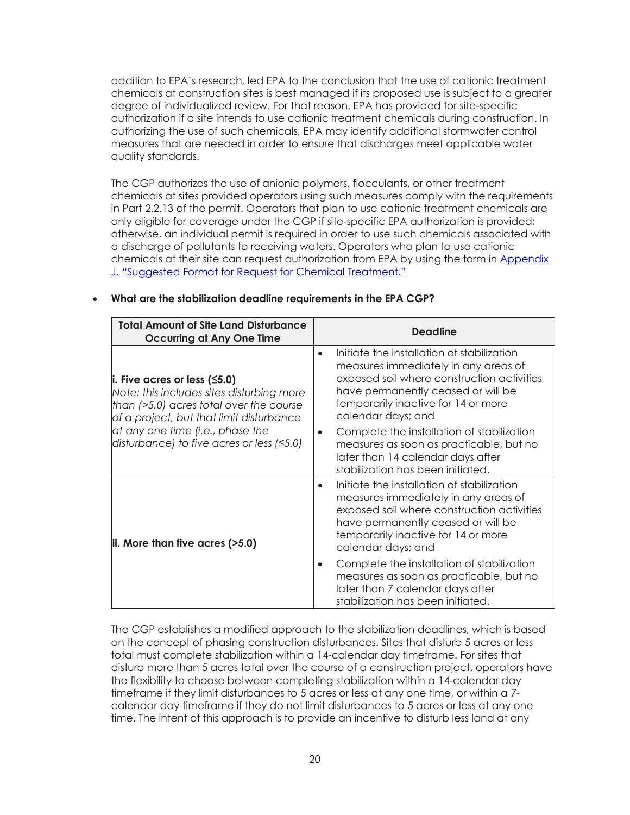degree of individualized review. For that reason, EPA has provided for site-specific authorizing the use of such chemicals, EPA may identify additional stormwater control measures that are needed in order to ensure that discharges meet applicable water addition to EPA's research, led EPA to the conclusion that the use of cationic treatment chemicals at construction sites is best managed if its proposed use is subject to a greater authorization if a site intends to use cationic treatment chemicals during construction. In quality standards.

 The CGP authorizes the use of anionic polymers, flocculants, or other treatment otherwise, an individual permit is required in order to use such chemicals associated with a discharge of pollutants to receiving waters. Operators who plan to use cationic chemicals at their site can request authorization from EPA by using the form in Appendix chemicals at sites provided operators using such measures comply with the requirements in Part 2.2.13 of the permit. Operators that plan to use cationic treatment chemicals are only eligible for coverage under the CGP if site-specific EPA authorization is provided; [J, "Suggested Format for Request for Chemical Treatment."](https://www.epa.gov/system/files/documents/2022-01/2022-cgp-final-appendix-j-request-for-chemical-treatment.pdf) 

| <b>Total Amount of Site Land Disturbance</b><br><b>Occurring at Any One Time</b>                                                                                                | <b>Deadline</b>                                                                                                                                                                                                                                  |
|---------------------------------------------------------------------------------------------------------------------------------------------------------------------------------|--------------------------------------------------------------------------------------------------------------------------------------------------------------------------------------------------------------------------------------------------|
| $\vert$ i. Five acres or less ( $\leq$ 5.0)<br>Note: this includes sites disturbing more<br>than (>5.0) acres total over the course<br>of a project, but that limit disturbance | Initiate the installation of stabilization<br>measures immediately in any areas of<br>exposed soil where construction activities<br>have permanently ceased or will be<br>temporarily inactive for 14 or more<br>calendar days; and              |
| at any one time (i.e., phase the<br>disturbance) to five acres or less $( \leq 5.0)$                                                                                            | Complete the installation of stabilization<br>$\bullet$<br>measures as soon as practicable, but no<br>later than 14 calendar days after<br>stabilization has been initiated.                                                                     |
| $\vert$ ii. More than five acres (>5.0)                                                                                                                                         | Initiate the installation of stabilization<br>$\bullet$<br>measures immediately in any areas of<br>exposed soil where construction activities<br>have permanently ceased or will be<br>temporarily inactive for 14 or more<br>calendar days; and |
|                                                                                                                                                                                 | Complete the installation of stabilization<br>measures as soon as practicable, but no<br>later than 7 calendar days after<br>stabilization has been initiated.                                                                                   |

#### <span id="page-19-0"></span>• **What are the stabilization deadline requirements in the EPA CGP?**

 The CGP establishes a modified approach to the stabilization deadlines, which is based on the concept of phasing construction disturbances. Sites that disturb 5 acres or less the flexibility to choose between completing stabilization within a 14-calendar day timeframe if they limit disturbances to 5 acres or less at any one time, or within a 7- calendar day timeframe if they do not limit disturbances to 5 acres or less at any one total must complete stabilization within a 14-calendar day timeframe. For sites that disturb more than 5 acres total over the course of a construction project, operators have time. The intent of this approach is to provide an incentive to disturb less land at any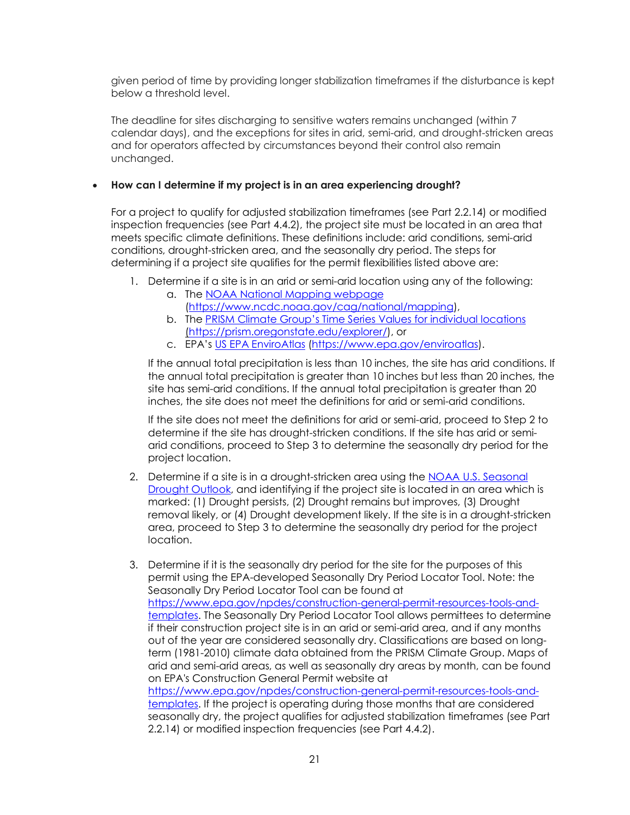given period of time by providing longer stabilization timeframes if the disturbance is kept below a threshold level.

The deadline for sites discharging to sensitive waters remains unchanged (within 7 calendar days), and the exceptions for sites in arid, semi-arid, and drought-stricken areas and for operators affected by circumstances beyond their control also remain unchanged.

## <span id="page-20-0"></span>• **How can I determine if my project is in an area experiencing drought?**

 For a project to qualify for adjusted stabilization timeframes (see Part 2.2.14) or modified conditions, drought-stricken area, and the seasonally dry period. The steps for inspection frequencies (see Part 4.4.2), the project site must be located in an area that meets specific climate definitions. These definitions include: arid conditions, semi-arid determining if a project site qualifies for the permit flexibilities listed above are:

- 1. Determine if a site is in an arid or semi-arid location using any of the following:
	- a. The NOAA National Mapping webpage [\(https://www.ncdc.noaa.gov/cag/national/mapping\)](https://gcc02.safelinks.protection.outlook.com/?url=https%3A%2F%2Fwww.ncdc.noaa.gov%2Fcag%2Fnational%2Fmapping&data=04%7C01%7CUrban.Rachel%40epa.gov%7Ccb0fa415bfb04938698e08d9d6c9741e%7C88b378b367484867acf976aacbeca6a7%7C0%7C0%7C637776983015570111%7CUnknown%7CTWFpbGZsb3d8eyJWIjoiMC4wLjAwMDAiLCJQIjoiV2luMzIiLCJBTiI6Ik1haWwiLCJXVCI6Mn0%3D%7C3000&sdata=ZEBLwNeCxLymPmj0R9iqfN%2BqvBmtUzbl%2BU4Q8UZELME%3D&reserved=0),
	- b. The **PRISM Climate Group's Time Series Values for individual locations** (https://prism.oregonstate.edu/explorer/), or
	- c. EPA's [US EPA EnviroAtlas \(https://www.epa.gov/enviroatlas\)](https://www.epa.gov/enviroatlas).

 inches, the site does not meet the definitions for arid or semi-arid conditions. If the annual total precipitation is less than 10 inches, the site has arid conditions. If the annual total precipitation is greater than 10 inches but less than 20 inches, the site has semi-arid conditions. If the annual total precipitation is greater than 20

 If the site does not meet the definitions for arid or semi-arid, proceed to Step 2 to determine if the site has drought-stricken conditions. If the site has arid or semiarid conditions, proceed to Step 3 to determine the seasonally dry period for the project location.

- [Drought Outlook,](https://www.cpc.ncep.noaa.gov/products/expert_assessment/sdo_summary.php) and identifying if the project site is located in an area which is removal likely, or (4) Drought development likely. If the site is in a drought-stricken 2. Determine if a site is in a drought-stricken area using the [NOAA U.S. Seasonal](https://www.cpc.ncep.noaa.gov/products/expert_assessment/sdo_summary.php)  marked: (1) Drought persists, (2) Drought remains but improves, (3) Drought area, proceed to Step 3 to determine the seasonally dry period for the project location.
- 3. Determine if it is the seasonally dry period for the site for the purposes of this Seasonally Dry Period Locator Tool can be found at [templates.](https://www.epa.gov/npdes/construction-general-permit-resources-tools-and-templates) The Seasonally Dry Period Locator Tool allows permittees to determine if their construction project site is in an arid or semi-arid area, and if any months term (1981-2010) climate data obtained from the PRISM Climate Group. Maps of arid and semi-arid areas, as well as seasonally dry areas by month, can be found permit using the EPA-developed Seasonally Dry Period Locator Tool. Note: the [https://www.epa.gov/npdes/construction-general-permit-resources-tools-and](https://www.epa.gov/npdes/construction-general-permit-resources-tools-and-templates)out of the year are considered seasonally dry. Classifications are based on longon EPA's Construction General Permit website at [https://www.epa.gov/npdes/construction-general-permit-resources-tools-and](https://www.epa.gov/npdes/construction-general-permit-resources-tools-and-templates)[templates.](https://www.epa.gov/npdes/construction-general-permit-resources-tools-and-templates) If the project is operating during those months that are considered seasonally dry, the project qualifies for adjusted stabilization timeframes (see Part 2.2.14) or modified inspection frequencies (see Part 4.4.2).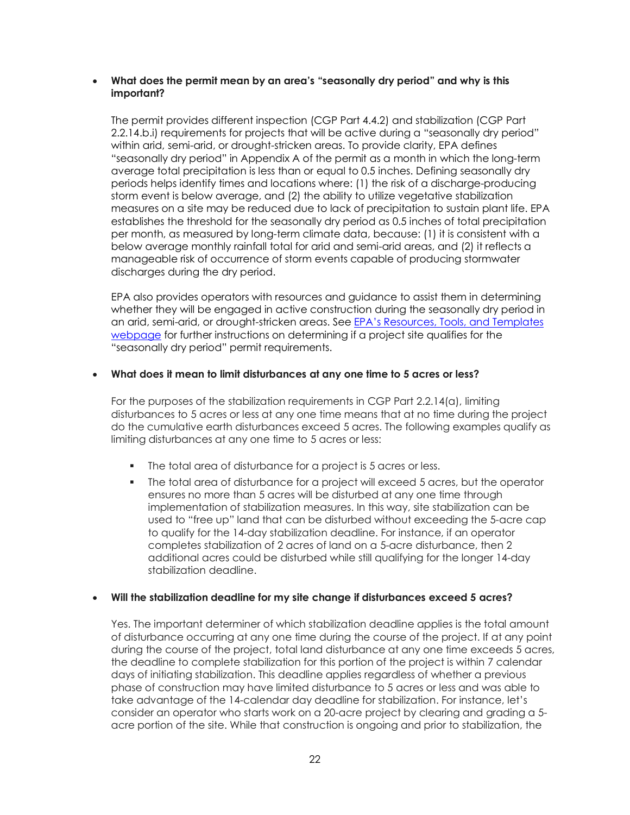#### <span id="page-21-0"></span>• **What does the permit mean by an area's "seasonally dry period" and why is this important?**

 average total precipitation is less than or equal to 0.5 inches. Defining seasonally dry periods helps identify times and locations where: (1) the risk of a discharge-producing measures on a site may be reduced due to lack of precipitation to sustain plant life. EPA establishes the threshold for the seasonally dry period as 0.5 inches of total precipitation per month, as measured by long-term climate data, because: (1) it is consistent with a manageable risk of occurrence of storm events capable of producing stormwater discharges during the dry period. The permit provides different inspection (CGP Part 4.4.2) and stabilization (CGP Part 2.2.14.b.i) requirements for projects that will be active during a "seasonally dry period" within arid, semi-arid, or drought-stricken areas. To provide clarity, EPA defines "seasonally dry period" in Appendix A of the permit as a month in which the long-term storm event is below average, and (2) the ability to utilize vegetative stabilization below average monthly rainfall total for arid and semi-arid areas, and (2) it reflects a

 whether they will be engaged in active construction during the seasonally dry period in [webpage](https://www.epa.gov/npdes/construction-general-permit-resources-tools-and-templates) for further instructions on determining if a project site qualifies for the EPA also provides operators with resources and guidance to assist them in determining an arid, semi-arid, or drought-stricken areas. See EPA's Resources, Tools, and Templates "seasonally dry period" permit requirements.

#### <span id="page-21-1"></span> • **What does it mean to limit disturbances at any one time to 5 acres or less?**

 disturbances to 5 acres or less at any one time means that at no time during the project limiting disturbances at any one time to 5 acres or less: For the purposes of the stabilization requirements in CGP Part 2.2.14(a), limiting do the cumulative earth disturbances exceed 5 acres. The following examples qualify as

- The total area of disturbance for a project is 5 acres or less.
- The total area of disturbance for a project will exceed 5 acres, but the operator ensures no more than 5 acres will be disturbed at any one time through to qualify for the 14-day stabilization deadline. For instance, if an operator completes stabilization of 2 acres of land on a 5-acre disturbance, then 2 additional acres could be disturbed while still qualifying for the longer 14-day implementation of stabilization measures. In this way, site stabilization can be used to "free up" land that can be disturbed without exceeding the 5-acre cap stabilization deadline.

#### <span id="page-21-2"></span> • **Will the stabilization deadline for my site change if disturbances exceed 5 acres?**

 of disturbance occurring at any one time during the course of the project. If at any point during the course of the project, total land disturbance at any one time exceeds 5 acres, the deadline to complete stabilization for this portion of the project is within 7 calendar take advantage of the 14-calendar day deadline for stabilization. For instance, let's acre portion of the site. While that construction is ongoing and prior to stabilization, the Yes. The important determiner of which stabilization deadline applies is the total amount days of initiating stabilization. This deadline applies regardless of whether a previous phase of construction may have limited disturbance to 5 acres or less and was able to consider an operator who starts work on a 20-acre project by clearing and grading a 5-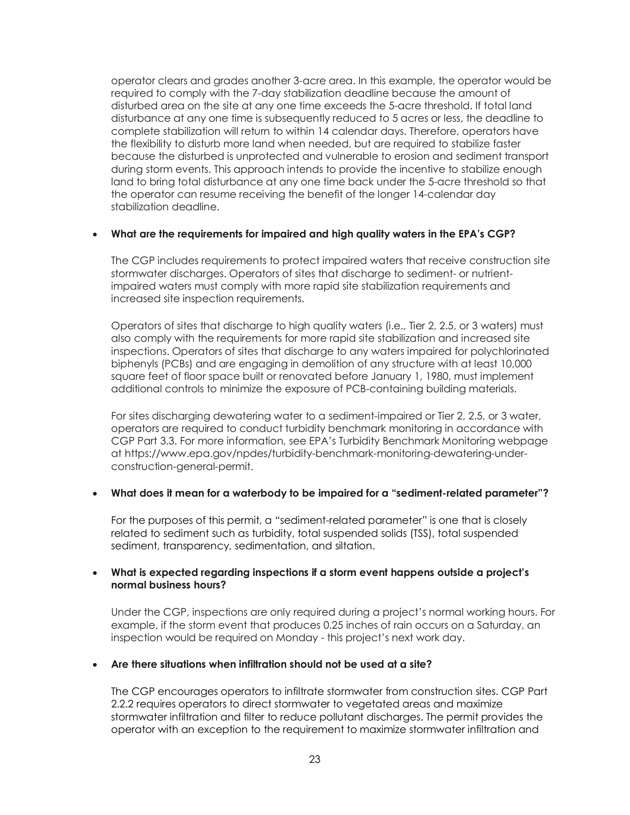operator clears and grades another 3-acre area. In this example, the operator would be disturbed area on the site at any one time exceeds the 5-acre threshold. If total land disturbance at any one time is subsequently reduced to 5 acres or less, the deadline to the flexibility to disturb more land when needed, but are required to stabilize faster during storm events. This approach intends to provide the incentive to stabilize enough required to comply with the 7-day stabilization deadline because the amount of complete stabilization will return to within 14 calendar days. Therefore, operators have because the disturbed is unprotected and vulnerable to erosion and sediment transport land to bring total disturbance at any one time back under the 5-acre threshold so that the operator can resume receiving the benefit of the longer 14-calendar day stabilization deadline.

#### <span id="page-22-0"></span> • **What are the requirements for impaired and high quality waters in the EPA's CGP?**

The CGP includes requirements to protect impaired waters that receive construction site stormwater discharges. Operators of sites that discharge to sediment- or nutrientimpaired waters must comply with more rapid site stabilization requirements and increased site inspection requirements.

 Operators of sites that discharge to high quality waters (i.e., Tier 2, 2.5, or 3 waters) must also comply with the requirements for more rapid site stabilization and increased site inspections. Operators of sites that discharge to any waters impaired for polychlorinated biphenyls (PCBs) and are engaging in demolition of any structure with at least 10,000 square feet of floor space built or renovated before January 1, 1980, must implement additional controls to minimize the exposure of PCB-containing building materials.

 CGP Part 3.3. For more information, see EPA's Turbidity Benchmark Monitoring webpage For sites discharging dewatering water to a sediment-impaired or Tier 2, 2.5, or 3 water, operators are required to conduct turbidity benchmark monitoring in accordance with at<https://www.epa.gov/npdes/turbidity-benchmark-monitoring-dewatering-under>construction-general-permit.

#### <span id="page-22-1"></span>• **What does it mean for a waterbody to be impaired for a "sediment-related parameter"?**

 For the purposes of this permit, a "sediment-related parameter" is one that is closely sediment, transparency, sedimentation, and siltation. related to sediment such as turbidity, total suspended solids (TSS), total suspended

#### <span id="page-22-2"></span> • **What is expected regarding inspections if a storm event happens outside a project's normal business hours?**

 Under the CGP, inspections are only required during a project's normal working hours. For inspection would be required on Monday - this project's next work day. example, if the storm event that produces 0.25 inches of rain occurs on a Saturday, an

#### <span id="page-22-3"></span> • **Are there situations when infiltration should not be used at a site?**

 stormwater infiltration and filter to reduce pollutant discharges. The permit provides the The CGP encourages operators to infiltrate stormwater from construction sites. CGP Part 2.2.2 requires operators to direct stormwater to vegetated areas and maximize operator with an exception to the requirement to maximize stormwater infiltration and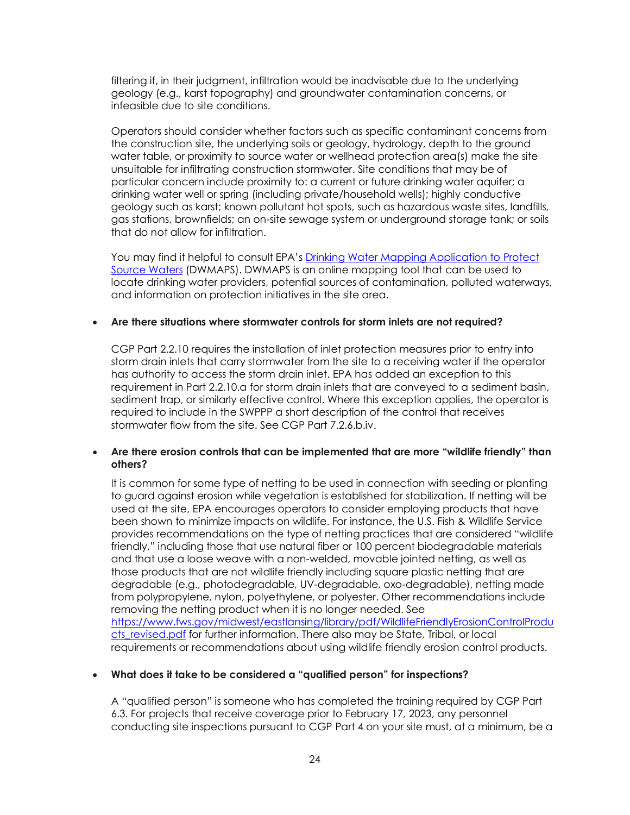filtering if, in their judgment, infiltration would be inadvisable due to the underlying geology (e.g., karst topography) and groundwater contamination concerns, or infeasible due to site conditions.

 water table, or proximity to source water or wellhead protection area(s) make the site particular concern include proximity to: a current or future drinking water aquifer; a that do not allow for infiltration. Operators should consider whether factors such as specific contaminant concerns from the construction site, the underlying soils or geology, hydrology, depth to the ground unsuitable for infiltrating construction stormwater. Site conditions that may be of drinking water well or spring (including private/household wells); highly conductive geology such as karst; known pollutant hot spots, such as hazardous waste sites, landfills, gas stations, brownfields; an on-site sewage system or underground storage tank; or soils

 [Source Waters](https://www.epa.gov/sourcewaterprotection/drinking-water-mapping-application-protect-source-waters-dwmaps#What) (DWMAPS). DWMAPS is an online mapping tool that can be used to locate drinking water providers, potential sources of contamination, polluted waterways, and information on protection initiatives in the site area. You may find it helpful to consult EPA's [Drinking Water Mapping Application to Protect](https://www.epa.gov/sourcewaterprotection/drinking-water-mapping-application-protect-source-waters-dwmaps#What) 

## <span id="page-23-0"></span>• **Are there situations where stormwater controls for storm inlets are not required?**

 CGP Part 2.2.10 requires the installation of inlet protection measures prior to entry into storm drain inlets that carry stormwater from the site to a receiving water if the operator has authority to access the storm drain inlet. EPA has added an exception to this requirement in Part 2.2.10.a for storm drain inlets that are conveyed to a sediment basin, sediment trap, or similarly effective control. Where this exception applies, the operator is required to include in the SWPPP a short description of the control that receives stormwater flow from the site. See CGP Part [7.2.6.b.iv](https://7.2.6.b.iv).

## <span id="page-23-1"></span> • **Are there erosion controls that can be implemented that are more "wildlife friendly" than others?**

 It is common for some type of netting to be used in connection with seeding or planting to guard against erosion while vegetation is established for stabilization. If netting will be used at the site, EPA encourages operators to consider employing products that have been shown to minimize impacts on wildlife. For instance, the U.S. Fish & Wildlife Service provides recommendations on the type of netting practices that are considered "wildlife and that use a loose weave with a non-welded, movable jointed netting, as well as from polypropylene, nylon, polyethylene, or polyester. Other recommendations include <u>cts\_revised.pdf</u> for further information. There also may be State, Tribal, or local friendly," including those that use natural fiber or 100 percent biodegradable materials those products that are not wildlife friendly including square plastic netting that are degradable (e.g., photodegradable, UV-degradable, oxo-degradable), netting made removing the netting product when it is no longer needed. See [https://www.fws.gov/midwest/eastlansing/library/pdf/WildlifeFriendlyErosionControlProdu](https://www.fws.gov/midwest/eastlansing/library/pdf/WildlifeFriendlyErosionControlProducts_revised.pdf)  requirements or recommendations about using wildlife friendly erosion control products.

#### <span id="page-23-2"></span>• **What does it take to be considered a "qualified person" for inspections?**

 conducting site inspections pursuant to CGP Part 4 on your site must, at a minimum, be a A "qualified person" is someone who has completed the training required by CGP Part 6.3. For projects that receive coverage prior to February 17, 2023, any personnel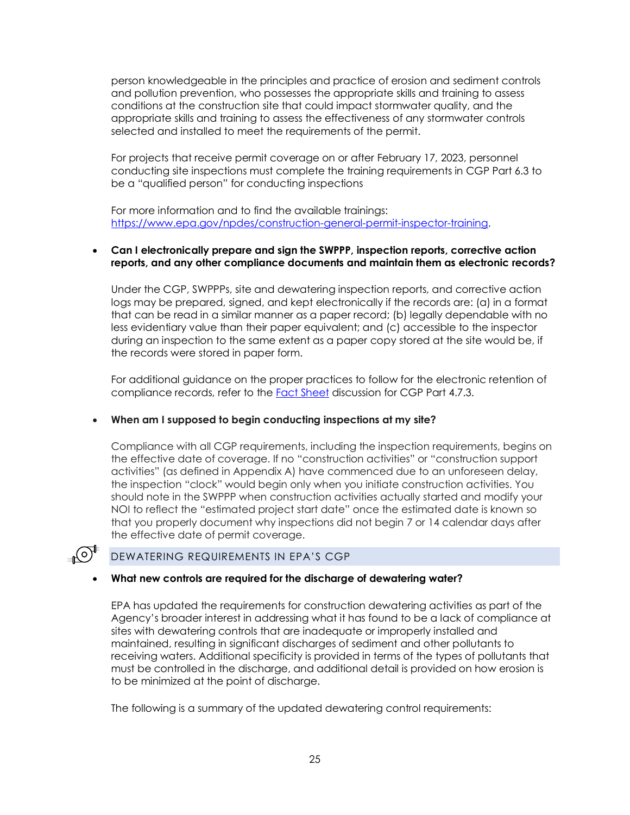person knowledgeable in the principles and practice of erosion and sediment controls conditions at the construction site that could impact stormwater quality, and the selected and installed to meet the requirements of the permit. and pollution prevention, who possesses the appropriate skills and training to assess appropriate skills and training to assess the effectiveness of any stormwater controls

be a "qualified person" for conducting inspections For projects that receive permit coverage on or after February 17, 2023, personnel conducting site inspections must complete the training requirements in CGP Part 6.3 to

For more information and to find the available trainings: [https://www.epa.gov/npdes/construction-general-permit-inspector-training.](https://www.epa.gov/npdes/construction-general-permit-inspector-training)

#### <span id="page-24-0"></span> **reports, and any other compliance documents and maintain them as electronic records?**  • **Can I electronically prepare and sign the SWPPP, inspection reports, corrective action**

 Under the CGP, SWPPPs, site and dewatering inspection reports, and corrective action logs may be prepared, signed, and kept electronically if the records are: (a) in a format that can be read in a similar manner as a paper record; (b) legally dependable with no during an inspection to the same extent as a paper copy stored at the site would be, if less evidentiary value than their paper equivalent; and (c) accessible to the inspector the records were stored in paper form.

 For additional guidance on the proper practices to follow for the electronic retention of compliance records, refer to the [Fact Sheet](https://www.epa.gov/system/files/documents/2022-01/2022-cgp-final-fact-sheet.pdf) discussion for CGP Part 4.7.3.

#### <span id="page-24-1"></span> • **When am I supposed to begin conducting inspections at my site?**

 Compliance with all CGP requirements, including the inspection requirements, begins on the effective date of coverage. If no "construction activities" or "construction support activities" (as defined in Appendix A) have commenced due to an unforeseen delay, that you properly document why inspections did not begin 7 or 14 calendar days after the inspection "clock" would begin only when you initiate construction activities. You should note in the SWPPP when construction activities actually started and modify your NOI to reflect the "estimated project start date" once the estimated date is known so the effective date of permit coverage.

## DEWATERING REQUIREMENTS IN EPA'S CGP

(၀)

#### <span id="page-24-2"></span> • **What new controls are required for the discharge of dewatering water?**

 maintained, resulting in significant discharges of sediment and other pollutants to must be controlled in the discharge, and additional detail is provided on how erosion is to be minimized at the point of discharge. EPA has updated the requirements for construction dewatering activities as part of the Agency's broader interest in addressing what it has found to be a lack of compliance at sites with dewatering controls that are inadequate or improperly installed and receiving waters. Additional specificity is provided in terms of the types of pollutants that

The following is a summary of the updated dewatering control requirements: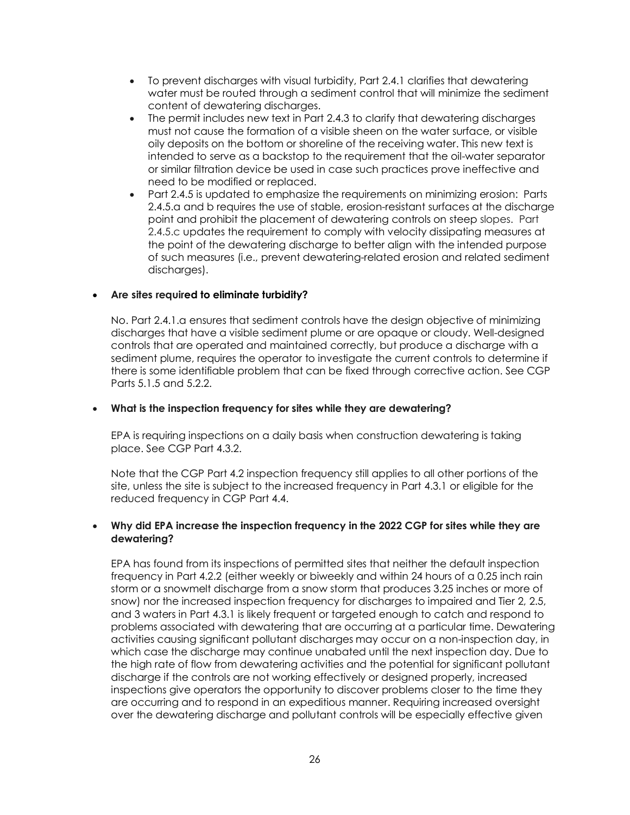- • To prevent discharges with visual turbidity, Part 2.4.1 clarifies that dewatering water must be routed through a sediment control that will minimize the sediment content of dewatering discharges.
- • The permit includes new text in Part 2.4.3 to clarify that dewatering discharges must not cause the formation of a visible sheen on the water surface, or visible oily deposits on the bottom or shoreline of the receiving water. This new text is need to be modified or replaced. intended to serve as a backstop to the requirement that the oil-water separator or similar filtration device be used in case such practices prove ineffective and
- 2.4.5.a and b requires the use of stable, erosion-resistant surfaces at the discharge 2.4.5.c updates the requirement to comply with velocity dissipating measures at the point of the dewatering discharge to better align with the intended purpose • Part 2.4.5 is updated to emphasize the requirements on minimizing erosion: Parts point and prohibit the placement of dewatering controls on steep slopes. Part of such measures (i.e., prevent dewatering-related erosion and related sediment discharges).

## <span id="page-25-0"></span>• **Are sites required to eliminate turbidity?**

 No. Part 2.4.1.a ensures that sediment controls have the design objective of minimizing discharges that have a visible sediment plume or are opaque or cloudy. Well-designed controls that are operated and maintained correctly, but produce a discharge with a sediment plume, requires the operator to investigate the current controls to determine if there is some identifiable problem that can be fixed through corrective action. See CGP Parts 5.1.5 and 5.2.2.

#### <span id="page-25-1"></span>• **What is the inspection frequency for sites while they are dewatering?**

 EPA is requiring inspections on a daily basis when construction dewatering is taking place. See CGP Part 4.3.2.

 Note that the CGP Part 4.2 inspection frequency still applies to all other portions of the site, unless the site is subject to the increased frequency in Part 4.3.1 or eligible for the reduced frequency in CGP Part 4.4.

#### <span id="page-25-2"></span> • **Why did EPA increase the inspection frequency in the 2022 CGP for sites while they are dewatering?**

 frequency in Part 4.2.2 (either weekly or biweekly and within 24 hours of a 0.25 inch rain problems associated with dewatering that are occurring at a particular time. Dewatering the high rate of flow from dewatering activities and the potential for significant pollutant discharge if the controls are not working effectively or designed properly, increased EPA has found from its inspections of permitted sites that neither the default inspection storm or a snowmelt discharge from a snow storm that produces 3.25 inches or more of snow) nor the increased inspection frequency for discharges to impaired and Tier 2, 2.5, and 3 waters in Part 4.3.1 is likely frequent or targeted enough to catch and respond to activities causing significant pollutant discharges may occur on a non-inspection day, in which case the discharge may continue unabated until the next inspection day. Due to inspections give operators the opportunity to discover problems closer to the time they are occurring and to respond in an expeditious manner. Requiring increased oversight over the dewatering discharge and pollutant controls will be especially effective given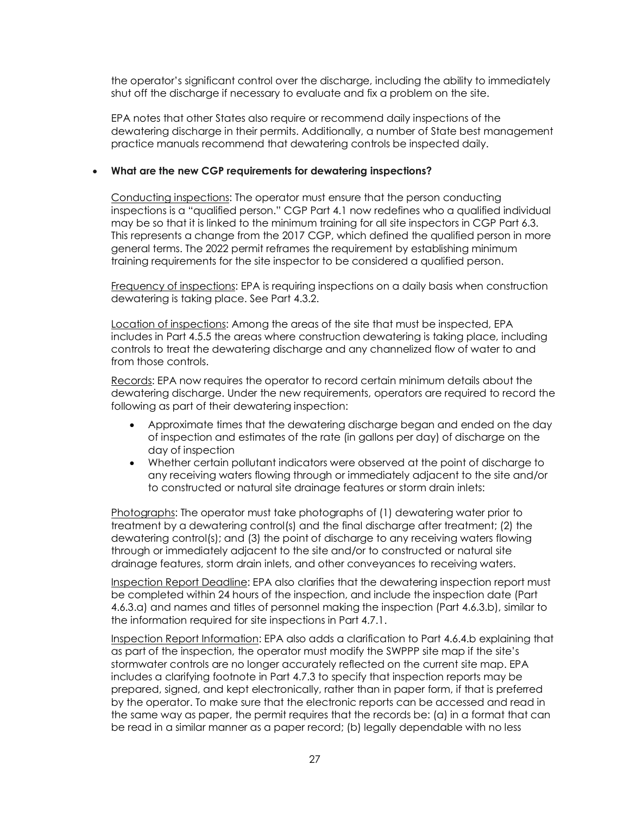shut off the discharge if necessary to evaluate and fix a problem on the site. the operator's significant control over the discharge, including the ability to immediately

 EPA notes that other States also require or recommend daily inspections of the dewatering discharge in their permits. Additionally, a number of State best management practice manuals recommend that dewatering controls be inspected daily.

#### <span id="page-26-0"></span>• **What are the new CGP requirements for dewatering inspections?**

 Conducting inspections: The operator must ensure that the person conducting may be so that it is linked to the minimum training for all site inspectors in CGP Part 6.3. inspections is a "qualified person." CGP Part 4.1 now redefines who a qualified individual This represents a change from the 2017 CGP, which defined the qualified person in more general terms. The 2022 permit reframes the requirement by establishing minimum training requirements for the site inspector to be considered a qualified person.

 Frequency of inspections: EPA is requiring inspections on a daily basis when construction dewatering is taking place. See Part 4.3.2.

 includes in Part 4.5.5 the areas where construction dewatering is taking place, including controls to treat the dewatering discharge and any channelized flow of water to and Location of inspections: Among the areas of the site that must be inspected, EPA from those controls.

Records: EPA now requires the operator to record certain minimum details about the dewatering discharge. Under the new requirements, operators are required to record the following as part of their dewatering inspection:

- • Approximate times that the dewatering discharge began and ended on the day of inspection and estimates of the rate (in gallons per day) of discharge on the day of inspection
- • Whether certain pollutant indicators were observed at the point of discharge to to constructed or natural site drainage features or storm drain inlets: any receiving waters flowing through or immediately adjacent to the site and/or

 Photographs: The operator must take photographs of (1) dewatering water prior to dewatering control(s); and (3) the point of discharge to any receiving waters flowing through or immediately adjacent to the site and/or to constructed or natural site treatment by a dewatering control(s) and the final discharge after treatment; (2) the drainage features, storm drain inlets, and other conveyances to receiving waters.

 the information required for site inspections in Part 4.7.1. Inspection Report Deadline: EPA also clarifies that the dewatering inspection report must be completed within 24 hours of the inspection, and include the inspection date (Part 4.6.3.a) and names and titles of personnel making the inspection (Part 4.6.3.b), similar to

 stormwater controls are no longer accurately reflected on the current site map. EPA by the operator. To make sure that the electronic reports can be accessed and read in the same way as paper, the permit requires that the records be: (a) in a format that can be read in a similar manner as a paper record; (b) legally dependable with no less Inspection Report Information: EPA also adds a clarification to Part 4.6.4.b explaining that as part of the inspection, the operator must modify the SWPPP site map if the site's includes a clarifying footnote in Part 4.7.3 to specify that inspection reports may be prepared, signed, and kept electronically, rather than in paper form, if that is preferred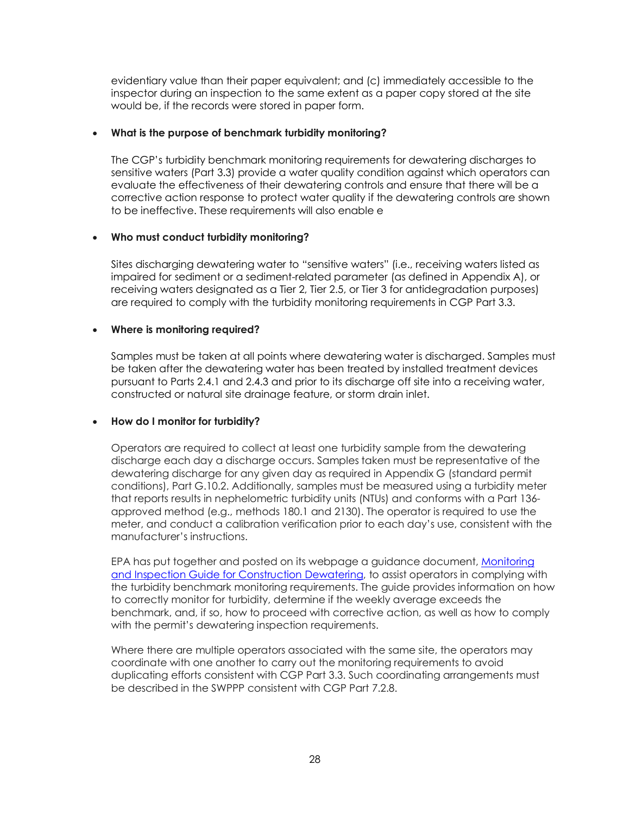evidentiary value than their paper equivalent; and (c) immediately accessible to the inspector during an inspection to the same extent as a paper copy stored at the site would be, if the records were stored in paper form.

## <span id="page-27-0"></span> • **What is the purpose of benchmark turbidity monitoring?**

 evaluate the effectiveness of their dewatering controls and ensure that there will be a The CGP's turbidity benchmark monitoring requirements for dewatering discharges to sensitive waters (Part 3.3) provide a water quality condition against which operators can corrective action response to protect water quality if the dewatering controls are shown to be ineffective. These requirements will also enable e

## <span id="page-27-1"></span> • **Who must conduct turbidity monitoring?**

 impaired for sediment or a sediment-related parameter (as defined in Appendix A), or receiving waters designated as a Tier 2, Tier 2.5, or Tier 3 for antidegradation purposes) Sites discharging dewatering water to "sensitive waters" (i.e., receiving waters listed as are required to comply with the turbidity monitoring requirements in CGP Part 3.3.

## <span id="page-27-2"></span>• **Where is monitoring required?**

 be taken after the dewatering water has been treated by installed treatment devices pursuant to Parts 2.4.1 and 2.4.3 and prior to its discharge off site into a receiving water, constructed or natural site drainage feature, or storm drain inlet. Samples must be taken at all points where dewatering water is discharged. Samples must

## <span id="page-27-3"></span> • **How do I monitor for turbidity?**

 Operators are required to collect at least one turbidity sample from the dewatering dewatering discharge for any given day as required in Appendix G (standard permit meter, and conduct a calibration verification prior to each day's use, consistent with the manufacturer's instructions. discharge each day a discharge occurs. Samples taken must be representative of the conditions), Part G.10.2. Additionally, samples must be measured using a turbidity meter that reports results in nephelometric turbidity units (NTUs) and conforms with a Part 136 approved method (e.g., methods 180.1 and 2130). The operator is required to use the

manufacturer's instructions.<br>EPA has put together and posted on its webpage a guidance document, <u>Monitoring</u> [and Inspection Guide for Construction Dewatering,](https://www.epa.gov/system/files/documents/2022-01/cgp-inspection-and-monitoring-guide-for-dewatering.pdf) to assist operators in complying with benchmark, and, if so, how to proceed with corrective action, as well as how to comply the turbidity benchmark monitoring requirements. The guide provides information on how to correctly monitor for turbidity, determine if the weekly average exceeds the with the permit's dewatering inspection requirements.

 coordinate with one another to carry out the monitoring requirements to avoid Where there are multiple operators associated with the same site, the operators may duplicating efforts consistent with CGP Part 3.3. Such coordinating arrangements must be described in the SWPPP consistent with CGP Part 7.2.8.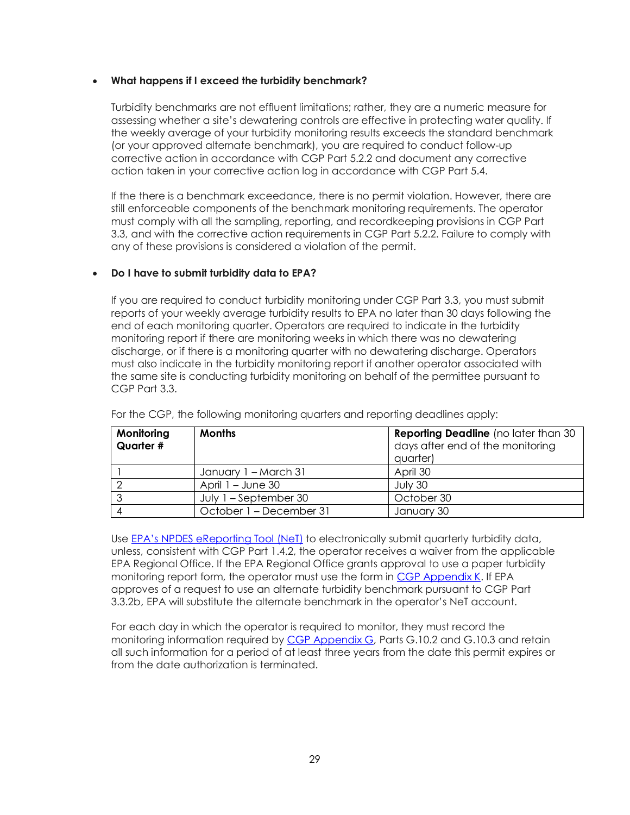#### <span id="page-28-0"></span> • **What happens if I exceed the turbidity benchmark?**

 Turbidity benchmarks are not effluent limitations; rather, they are a numeric measure for assessing whether a site's dewatering controls are effective in protecting water quality. If the weekly average of your turbidity monitoring results exceeds the standard benchmark (or your approved alternate benchmark), you are required to conduct follow-up corrective action in accordance with CGP Part 5.2.2 and document any corrective action taken in your corrective action log in accordance with CGP Part 5.4.

 If the there is a benchmark exceedance, there is no permit violation. However, there are still enforceable components of the benchmark monitoring requirements. The operator must comply with all the sampling, reporting, and recordkeeping provisions in CGP Part 3.3, and with the corrective action requirements in CGP Part 5.2.2. Failure to comply with any of these provisions is considered a violation of the permit.

## <span id="page-28-1"></span>• **Do I have to submit turbidity data to EPA?**

 monitoring report if there are monitoring weeks in which there was no dewatering discharge, or if there is a monitoring quarter with no dewatering discharge. Operators must also indicate in the turbidity monitoring report if another operator associated with the same site is conducting turbidity monitoring on behalf of the permittee pursuant to If you are required to conduct turbidity monitoring under CGP Part 3.3, you must submit reports of your weekly average turbidity results to EPA no later than 30 days following the end of each monitoring quarter. Operators are required to indicate in the turbidity CGP Part 3.3.

| Monitoring<br>Quarter # | <b>Months</b>           | <b>Reporting Deadline</b> (no later than 30<br>days after end of the monitoring<br>quarter) |
|-------------------------|-------------------------|---------------------------------------------------------------------------------------------|
|                         | January 1 - March 31    | April 30                                                                                    |
|                         | April $1 -$ June 30     | July 30                                                                                     |
|                         | July $1 -$ September 30 | October 30                                                                                  |
|                         | October 1 – December 31 | January 30                                                                                  |

For the CGP, the following monitoring quarters and reporting deadlines apply:

 EPA Regional Office. If the EPA Regional Office grants approval to use a paper turbidity approves of a request to use an alternate turbidity benchmark pursuant to CGP Part Use [EPA's NPDES eReporting Tool \(NeT\)](https://npdes-ereporting.epa.gov/net-cgp/action/login) to electronically submit quarterly turbidity data, unless, consistent with CGP Part 1.4.2, the operator receives a waiver from the applicable monitoring report form, the operator must use the form in [CGP Appendix K.](https://www.epa.gov/system/files/documents/2022-01/2022-cgp-final-appendix-k-turbidity-monitoring.pdf) If EPA 3.3.2b, EPA will substitute the alternate benchmark in the operator's NeT account.

 For each day in which the operator is required to monitor, they must record the monitoring information required by <u>CGP Appendix G</u>, Parts G.10.2 and G.10.3 and retain all such information for a period of at least three years from the date this permit expires or from the date authorization is terminated.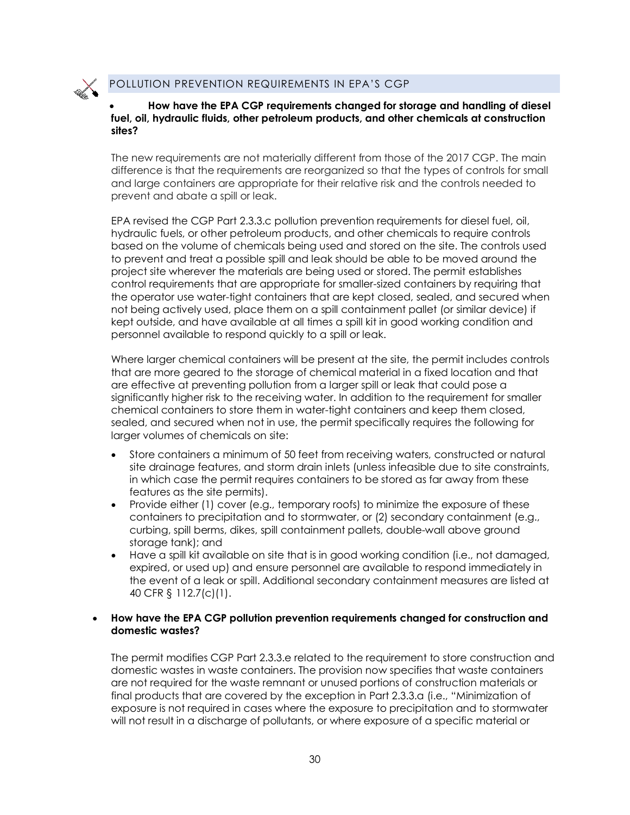

#### <span id="page-29-0"></span> • **How have the EPA CGP requirements changed for storage and handling of diesel fuel, oil, hydraulic fluids, other petroleum products, and other chemicals at construction sites?**

 prevent and abate a spill or leak. The new requirements are not materially different from those of the 2017 CGP. The main difference is that the requirements are reorganized so that the types of controls for small and large containers are appropriate for their relative risk and the controls needed to

 to prevent and treat a possible spill and leak should be able to be moved around the not being actively used, place them on a spill containment pallet (or similar device) if kept outside, and have available at all times a spill kit in good working condition and personnel available to respond quickly to a spill or leak. EPA revised the CGP Part 2.3.3.c pollution prevention requirements for diesel fuel, oil, hydraulic fuels, or other petroleum products, and other chemicals to require controls based on the volume of chemicals being used and stored on the site. The controls used project site wherever the materials are being used or stored. The permit establishes control requirements that are appropriate for smaller-sized containers by requiring that the operator use water-tight containers that are kept closed, sealed, and secured when

 Where larger chemical containers will be present at the site, the permit includes controls that are more geared to the storage of chemical material in a fixed location and that are effective at preventing pollution from a larger spill or leak that could pose a significantly higher risk to the receiving water. In addition to the requirement for smaller chemical containers to store them in water-tight containers and keep them closed, sealed, and secured when not in use, the permit specifically requires the following for larger volumes of chemicals on site:

- • Store containers a minimum of 50 feet from receiving waters, constructed or natural site drainage features, and storm drain inlets (unless infeasible due to site constraints, in which case the permit requires containers to be stored as far away from these features as the site permits).
- • Provide either (1) cover (e.g., temporary roofs) to minimize the exposure of these storage tank); and containers to precipitation and to stormwater, or (2) secondary containment (e.g., curbing, spill berms, dikes, spill containment pallets, double-wall above ground
- • Have a spill kit available on site that is in good working condition (i.e., not damaged, expired, or used up) and ensure personnel are available to respond immediately in the event of a leak or spill. Additional secondary containment measures are listed at 40 CFR § 112.7(c)(1).

#### <span id="page-29-1"></span> • **How have the EPA CGP pollution prevention requirements changed for construction and domestic wastes?**

 are not required for the waste remnant or unused portions of construction materials or final products that are covered by the exception in Part 2.3.3.a (i.e., "Minimization of exposure is not required in cases where the exposure to precipitation and to stormwater will not result in a discharge of pollutants, or where exposure of a specific material or The permit modifies CGP Part 2.3.3.e related to the requirement to store construction and domestic wastes in waste containers. The provision now specifies that waste containers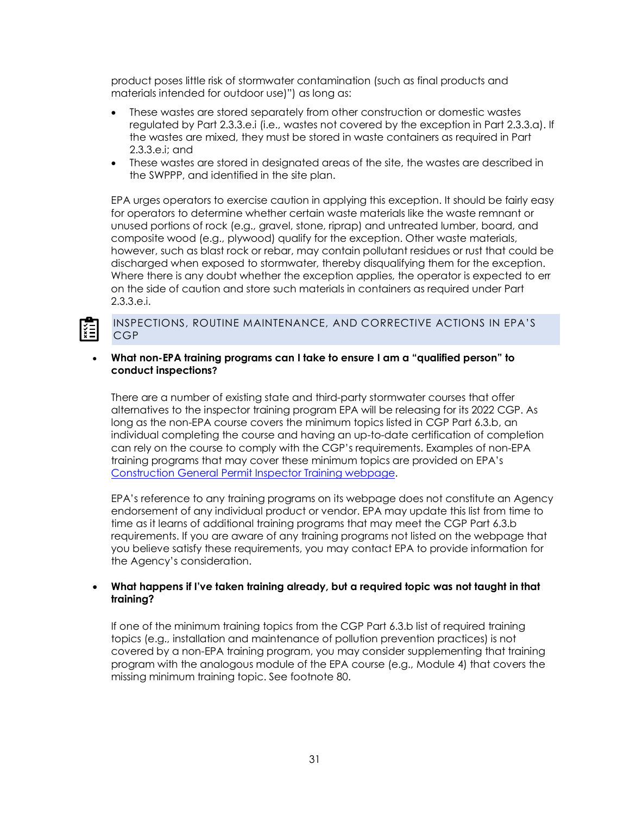product poses little risk of stormwater contamination (such as final products and materials intended for outdoor use)") as long as:

- the wastes are mixed, they must be stored in waste containers as required in Part • These wastes are stored separately from other construction or domestic wastes regulated by Part 2.3.3.e.i (i.e., wastes not covered by the exception in Part 2.3.3.a). If 2.3.3.e.i; and
- These wastes are stored in designated areas of the site, the wastes are described in the SWPPP, and identified in the site plan.

 for operators to determine whether certain waste materials like the waste remnant or composite wood (e.g., plywood) qualify for the exception. Other waste materials, however, such as blast rock or rebar, may contain pollutant residues or rust that could be on the side of caution and store such materials in containers as required under Part EPA urges operators to exercise caution in applying this exception. It should be fairly easy unused portions of rock (e.g., gravel, stone, riprap) and untreated lumber, board, and discharged when exposed to stormwater, thereby disqualifying them for the exception. Where there is any doubt whether the exception applies, the operator is expected to err 2.3.3.e.i.

## INSPECTIONS, ROUTINE MAINTENANCE, AND CORRECTIVE ACTIONS IN EPA'S CGP

#### <span id="page-30-0"></span> • **What non-EPA training programs can I take to ensure I am a "qualified person" to conduct inspections?**

 There are a number of existing state and third-party stormwater courses that offer alternatives to the inspector training program EPA will be releasing for its 2022 CGP. As individual completing the course and having an up-to-date certification of completion can rely on the course to comply with the CGP's requirements. Examples of non-EPA long as the non-EPA course covers the minimum topics listed in CGP Part 6.3.b, an training programs that may cover these minimum topics are provided on EPA's [Construction General Permit Inspector Training webpage.](https://www.epa.gov/npdes/construction-general-permit-inspector-training)

 time as it learns of additional training programs that may meet the CGP Part 6.3.b requirements. If you are aware of any training programs not listed on the webpage that EPA's reference to any training programs on its webpage does not constitute an Agency endorsement of any individual product or vendor. EPA may update this list from time to you believe satisfy these requirements, you may contact EPA to provide information for the Agency's consideration.

#### <span id="page-30-1"></span> • **What happens if I've taken training already, but a required topic was not taught in that training?**

 If one of the minimum training topics from the CGP Part 6.3.b list of required training topics (e.g., installation and maintenance of pollution prevention practices) is not covered by a non-EPA training program, you may consider supplementing that training program with the analogous module of the EPA course (e.g., Module 4) that covers the missing minimum training topic. See footnote 80.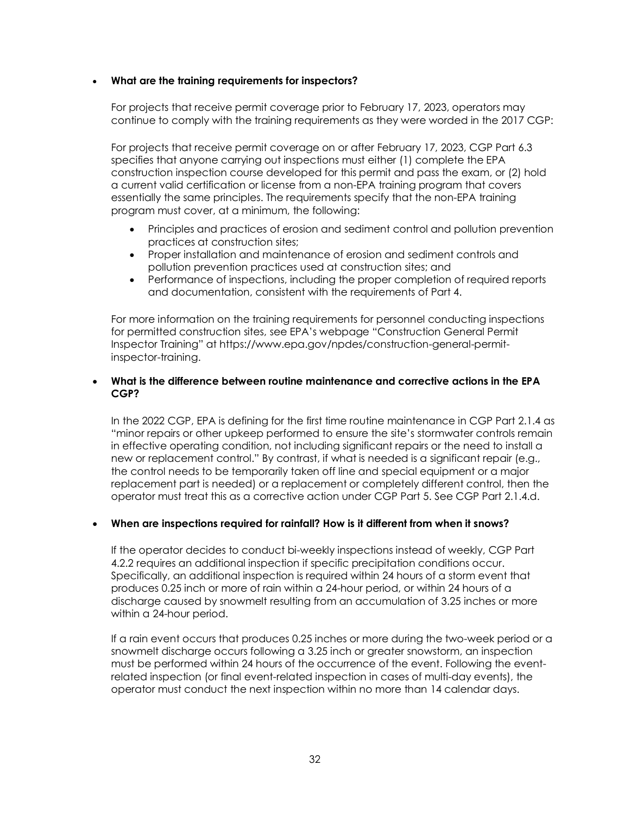#### <span id="page-31-0"></span>• **What are the training requirements for inspectors?**

 continue to comply with the training requirements as they were worded in the 2017 CGP: For projects that receive permit coverage prior to February 17, 2023, operators may

 specifies that anyone carrying out inspections must either (1) complete the EPA construction inspection course developed for this permit and pass the exam, or (2) hold a current valid certification or license from a non-EPA training program that covers For projects that receive permit coverage on or after February 17, 2023, CGP Part 6.3 essentially the same principles. The requirements specify that the non-EPA training program must cover, at a minimum, the following:

- Principles and practices of erosion and sediment control and pollution prevention practices at construction sites;
- Proper installation and maintenance of erosion and sediment controls and pollution prevention practices used at construction sites; and
- • Performance of inspections, including the proper completion of required reports and documentation, consistent with the requirements of Part 4.

 For more information on the training requirements for personnel conducting inspections for permitted construction sites, see EPA's webpage "Construction General Permit Inspector Training" at<https://www.epa.gov/npdes/construction-general-permit>inspector-training.

#### <span id="page-31-1"></span>• **What is the difference between routine maintenance and corrective actions in the EPA CGP?**

 in effective operating condition, not including significant repairs or the need to install a new or replacement control." By contrast, if what is needed is a significant repair (e.g., the control needs to be temporarily taken off line and special equipment or a major replacement part is needed) or a replacement or completely different control, then the operator must treat this as a corrective action under CGP Part 5. See CGP Part 2.1.4.d. In the 2022 CGP, EPA is defining for the first time routine maintenance in CGP Part 2.1.4 as "minor repairs or other upkeep performed to ensure the site's stormwater controls remain

#### <span id="page-31-2"></span> • **When are inspections required for rainfall? How is it different from when it snows?**

 4.2.2 requires an additional inspection if specific precipitation conditions occur. Specifically, an additional inspection is required within 24 hours of a storm event that If the operator decides to conduct bi-weekly inspections instead of weekly, CGP Part produces 0.25 inch or more of rain within a 24-hour period, or within 24 hours of a discharge caused by snowmelt resulting from an accumulation of 3.25 inches or more within a 24-hour period.

 If a rain event occurs that produces 0.25 inches or more during the two-week period or a snowmelt discharge occurs following a 3.25 inch or greater snowstorm, an inspection must be performed within 24 hours of the occurrence of the event. Following the event- related inspection (or final event-related inspection in cases of multi-day events), the operator must conduct the next inspection within no more than 14 calendar days.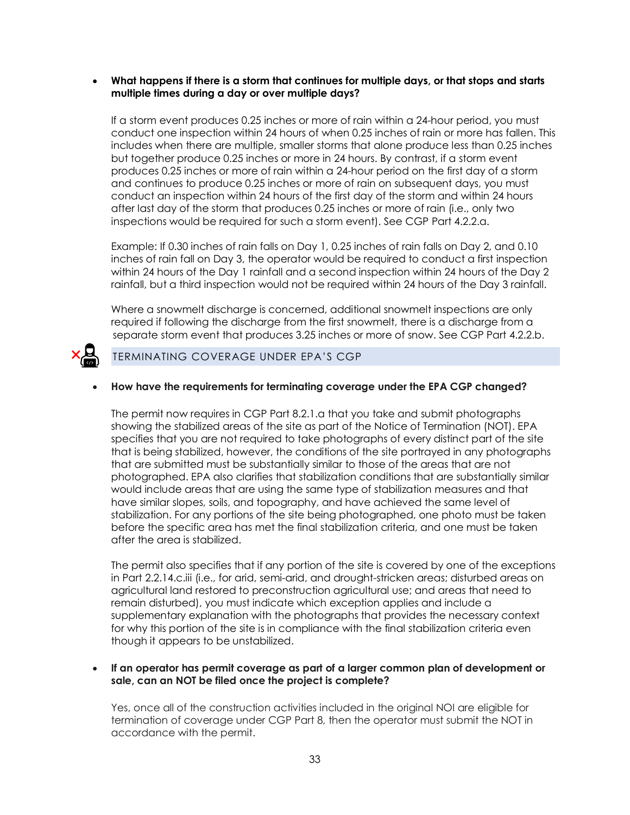#### <span id="page-32-0"></span> • **What happens if there is a storm that continues for multiple days, or that stops and starts multiple times during a day or over multiple days?**

 produces 0.25 inches or more of rain within a 24-hour period on the first day of a storm inspections would be required for such a storm event). See CGP Part 4.2.2.a. If a storm event produces 0.25 inches or more of rain within a 24-hour period, you must conduct one inspection within 24 hours of when 0.25 inches of rain or more has fallen. This includes when there are multiple, smaller storms that alone produce less than 0.25 inches but together produce 0.25 inches or more in 24 hours. By contrast, if a storm event and continues to produce 0.25 inches or more of rain on subsequent days, you must conduct an inspection within 24 hours of the first day of the storm and within 24 hours after last day of the storm that produces 0.25 inches or more of rain (i.e., only two

 Example: If 0.30 inches of rain falls on Day 1, 0.25 inches of rain falls on Day 2, and 0.10 inches of rain fall on Day 3, the operator would be required to conduct a first inspection rainfall, but a third inspection would not be required within 24 hours of the Day 3 rainfall. within 24 hours of the Day 1 rainfall and a second inspection within 24 hours of the Day 2

 required if following the discharge from the first snowmelt, there is a discharge from a Where a snowmelt discharge is concerned, additional snowmelt inspections are only separate storm event that produces 3.25 inches or more of snow. See CGP Part 4.2.2.b.



## TERMINATING COVERAGE UNDER EPA'S CGP

#### <span id="page-32-1"></span>• **How have the requirements for terminating coverage under the EPA CGP changed?**

 showing the stabilized areas of the site as part of the Notice of Termination (NOT). EPA specifies that you are not required to take photographs of every distinct part of the site that is being stabilized, however, the conditions of the site portrayed in any photographs that are submitted must be substantially similar to those of the areas that are not would include areas that are using the same type of stabilization measures and that have similar slopes, soils, and topography, and have achieved the same level of stabilization. For any portions of the site being photographed, one photo must be taken before the specific area has met the final stabilization criteria, and one must be taken The permit now requires in CGP Part 8.2.1.a that you take and submit photographs photographed. EPA also clarifies that stabilization conditions that are substantially similar after the area is stabilized.

 The permit also specifies that if any portion of the site is covered by one of the exceptions agricultural land restored to preconstruction agricultural use; and areas that need to remain disturbed), you must indicate which exception applies and include a supplementary explanation with the photographs that provides the necessary context for why this portion of the site is in compliance with the final stabilization criteria even in Part 2.2.14.c.iii (i.e., for arid, semi-arid, and drought-stricken areas; disturbed areas on though it appears to be unstabilized.

#### <span id="page-32-2"></span> • **If an operator has permit coverage as part of a larger common plan of development or sale, can an NOT be filed once the project is complete?**

Yes, once all of the construction activities included in the original NOI are eligible for termination of coverage under CGP Part 8, then the operator must submit the NOT in accordance with the permit.